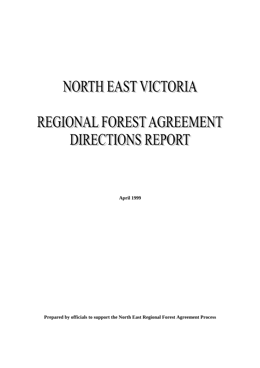# **NORTH EAST VICTORIA**

# REGIONAL FOREST AGREEMENT **DIRECTIONS REPORT**

**April 1999**

**Prepared by officials to support the North East Regional Forest Agreement Process**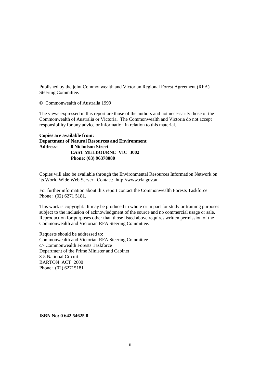Published by the joint Commonwealth and Victorian Regional Forest Agreement (RFA) Steering Committee.

© Commonwealth of Australia 1999

The views expressed in this report are those of the authors and not necessarily those of the Commonwealth of Australia or Victoria. The Commonwealth and Victoria do not accept responsibility for any advice or information in relation to this material.

**Copies are available from: Department of Natural Resources and Environment Address: 8 Nicholson Street EAST MELBOURNE VIC 3002 Phone: (03) 96378080**

Copies will also be available through the Environmental Resources Information Network on its World Wide Web Server. Contact: http://www.rfa.gov.au

For further information about this report contact the Commonwealth Forests Taskforce Phone: (02) 6271 5181.

This work is copyright. It may be produced in whole or in part for study or training purposes subject to the inclusion of acknowledgment of the source and no commercial usage or sale. Reproduction for purposes other than those listed above requires written permission of the Commonwealth and Victorian RFA Steering Committee.

Requests should be addressed to: Commonwealth and Victorian RFA Steering Committee c/- Commonwealth Forests Taskforce Department of the Prime Minister and Cabinet 3-5 National Circuit BARTON ACT 2600 Phone: (02) 62715181

**ISBN No: 0 642 54625 8**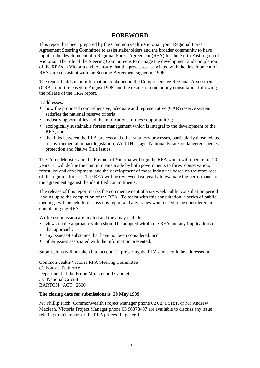# **FOREWORD**

<span id="page-2-0"></span>This report has been prepared by the Commonwealth-Victorian joint Regional Forest Agreement Steering Committee to assist stakeholders and the broader community to have input to the development of a Regional Forest Agreement (RFA) for the North East region of Victoria. The role of the Steering Committee is to manage the development and completion of the RFAs in Victoria and to ensure that the processes associated with the development of RFAs are consistent with the Scoping Agreement signed in 1996.

The report builds upon information contained in the Comprehensive Regional Assessment (CRA) report released in August 1998, and the results of community consultation following the release of the CRA report.

It addresses:

- how the proposed comprehensive, adequate and representative (CAR) reserve system satisfies the national reserve criteria;
- industry opportunities and the implications of these opportunities;
- ecologically sustainable forests management which is integral to the development of the RFA; and
- the links between the RFA process and other statutory processes, particularly those related to environmental impact legislation, World Heritage, National Estate, endangered species protection and Native Title issues.

The Prime Minister and the Premier of Victoria will sign the RFA which will operate for 20 years. It will define the commitments made by both governments to forest conservation, forest use and development, and the development of those industries based on the resources of the region's forests. The RFA will be reviewed five yearly to evaluate the performance of the agreement against the identified commitments.

The release of this report marks the commencement of a six week public consultation period leading up to the completion of the RFA. To assist with this consultation, a series of public meetings will be held to discuss this report and any issues which need to be considered in completing the RFA.

Written submission are invited and they may include:

- views on the approach which should be adopted within the RFA and any implications of that approach;
- any issues of substance that have not been considered; and
- other issues associated with the information presented.

Submissions will be taken into account in preparing the RFA and should be addressed to:

Commonwealth-Victoria RFA Steering Committee c/- Forests Taskforce Department of the Prime Minister and Cabinet 3-5 National Circuit BARTON ACT 2600

#### **The closing date for submissions is 28 May 1999**

Mr Phillip Fitch, Commonwealth Project Manager phone 02 6271 5181, or Mr Andrew Maclean, Victoria Project Manager phone 03 96378407 are available to discuss any issue relating to this report or the RFA process in general.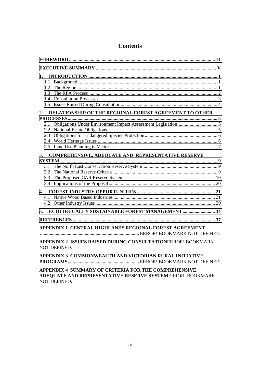# **Contents**

| 1.<br>1.2<br>1.3                                                                                                                          |  |  |  |
|-------------------------------------------------------------------------------------------------------------------------------------------|--|--|--|
| RELATIONSHIP OF THE REGIONAL FOREST AGREEMENT TO OTHER<br>2.                                                                              |  |  |  |
| 2.1<br>2.2<br>2.3                                                                                                                         |  |  |  |
| COMPREHENSIVE, ADEQUATE AND REPRESENTATIVE RESERVE<br>3.                                                                                  |  |  |  |
| 3.1<br>32<br>3.3                                                                                                                          |  |  |  |
| 4.<br>41                                                                                                                                  |  |  |  |
| <b>ECOLOGICALLY SUSTAINABLE FOREST MANAGEMENT  34</b><br>5.                                                                               |  |  |  |
|                                                                                                                                           |  |  |  |
| APPENDIX 1 CENTRAL HIGHLANDS REGIONAL FOREST AGREEMENT                                                                                    |  |  |  |
| <b>APPENDIX 2 ISSUES RAISED DURING CONSULTATIONERROR! BOOKMARK</b><br>NOT DEFINED.                                                        |  |  |  |
| APPENDIX 3 COMMONWEALTH AND VICTORIAN RURAL INITIATIVE                                                                                    |  |  |  |
| APPENDIX 4 SUMMARY OF CRITERIA FOR THE COMPREHENSIVE,<br>ADEQUATE AND REPRESENTATIVE RESERVE SYSTEMERROR! BOOKMARK<br><b>NOT DEFINED.</b> |  |  |  |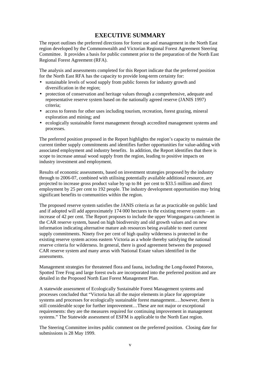# **EXECUTIVE SUMMARY**

<span id="page-4-0"></span>The report outlines the preferred directions for forest use and management in the North East region developed by the Commonwealth and Victorian Regional Forest Agreement Steering Committee. It provides a basis for public comment prior to the preparation of the North East Regional Forest Agreement (RFA).

The analysis and assessments completed for this Report indicate that the preferred position for the North East RFA has the capacity to provide long-term certainty for:

- sustainable levels of wood supply from public forests for industry growth and diversification in the region;
- protection of conservation and heritage values through a comprehensive, adequate and representative reserve system based on the nationally agreed reserve (JANIS 1997) criteria;
- access to forests for other uses including tourism, recreation, forest grazing, mineral exploration and mining; and
- ecologically sustainable forest management through accredited management systems and processes.

The preferred position proposed in the Report highlights the region's capacity to maintain the current timber supply commitments and identifies further opportunities for value-adding with associated employment and industry benefits. In addition, the Report identifies that there is scope to increase annual wood supply from the region, leading to positive impacts on industry investment and employment.

Results of economic assessments, based on investment strategies proposed by the industry through to 2006-07, combined with utilising potentially available additional resource, are projected to increase gross product value by up to 84 per cent to \$33.5 million and direct employment by 25 per cent to 192 people. The industry development opportunities may bring significant benefits to communities within the region.

The proposed reserve system satisfies the JANIS criteria as far as practicable on public land and if adopted will add approximately 174 000 hectares to the existing reserve system – an increase of 42 per cent. The Report proposes to include the upper Wongungarra catchment in the CAR reserve system, based on high biodiversity and old growth values and on new information indicating alternative mature ash resources being available to meet current supply commitments. Ninety five per cent of high quality wilderness is protected in the existing reserve system across eastern Victoria as a whole thereby satisfying the national reserve criteria for wilderness. In general, there is good agreement between the proposed CAR reserve system and many areas with National Estate values identified in the assessments.

Management strategies for threatened flora and fauna, including the Long-footed Potoroo, Spotted Tree Frog and large forest owls are incorporated into the preferred position and are detailed in the Proposed North East Forest Management Plan.

A statewide assessment of Ecologically Sustainable Forest Management systems and processes concluded that "Victoria has all the major elements in place for appropriate systems and processes for ecologically sustainable forest management.…however, there is still considerable scope for further improvement…These are not major or exceptional requirements: they are the measures required for continuing improvement in management systems." The Statewide assessment of ESFM is applicable to the North East region.

The Steering Committee invites public comment on the preferred position. Closing date for submissions is 28 May 1999.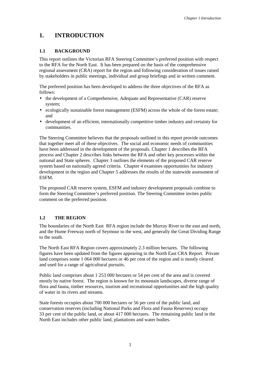# <span id="page-6-0"></span>**1. INTRODUCTION**

# **1.1 BACKGROUND**

This report outlines the Victorian RFA Steering Committee's preferred position with respect to the RFA for the North East. It has been prepared on the basis of the comprehensive regional assessment (CRA) report for the region and following consideration of issues raised by stakeholders in public meetings, individual and group briefings and in written comment.

The preferred position has been developed to address the three objectives of the RFA as follows:

- the development of a Comprehensive, Adequate and Representative (CAR) reserve system;
- ecologically sustainable forest management (ESFM) across the whole of the forest estate; and
- development of an efficient, internationally competitive timber industry and certainty for communities.

The Steering Committee believes that the proposals outlined in this report provide outcomes that together meet all of these objectives. The social and economic needs of communities have been addressed in the development of the proposals. Chapter 1 describes the RFA process and Chapter 2 describes links between the RFA and other key processes within the national and State spheres. Chapter 3 outlines the elements of the proposed CAR reserve system based on nationally agreed criteria. Chapter 4 examines opportunities for industry development in the region and Chapter 5 addresses the results of the statewide assessment of ESFM.

The proposed CAR reserve system, ESFM and industry development proposals combine to form the Steering Committee's preferred position. The Steering Committee invites public comment on the preferred position.

# **1.2 THE REGION**

The boundaries of the North East RFA region include the Murray River to the east and north, and the Hume Freeway north of Seymour to the west, and generally the Great Dividing Range to the south.

The North East RFA Region covers approximately 2.3 million hectares. The following figures have been updated from the figures appearing in the North East CRA Report. Private land comprises some 1 064 000 hectares or 46 per cent of the region and is mostly cleared and used for a range of agricultural pursuits.

Public land comprises about 1 253 000 hectares or 54 per cent of the area and is covered mostly by native forest. The region is known for its mountain landscapes, diverse range of flora and fauna, timber resources, tourism and recreational opportunities and the high quality of water in its rivers and streams.

State forests occupies about 700 000 hectares or 56 per cent of the public land, and conservation reserves (including National Parks and Flora and Fauna Reserves) occupy 33 per cent of the public land, or about 417 000 hectares. The remaining public land in the North East includes other public land, plantations and water bodies.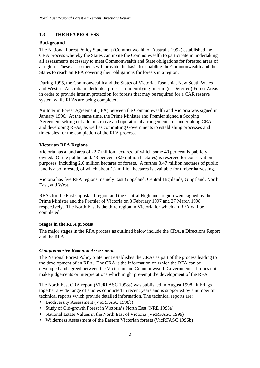# <span id="page-7-0"></span>**1.3 THE RFA PROCESS**

#### **Background**

The National Forest Policy Statement (Commonwealth of Australia 1992) established the CRA process whereby the States can invite the Commonwealth to participate in undertaking all assessments necessary to meet Commonwealth and State obligations for forested areas of a region. These assessments will provide the basis for enabling the Commonwealth and the States to reach an RFA covering their obligations for forests in a region.

During 1995, the Commonwealth and the States of Victoria, Tasmania, New South Wales and Western Australia undertook a process of identifying Interim (or Deferred) Forest Areas in order to provide interim protection for forests that may be required for a CAR reserve system while RFAs are being completed.

An Interim Forest Agreement (IFA) between the Commonwealth and Victoria was signed in January 1996. At the same time, the Prime Minister and Premier signed a Scoping Agreement setting out administrative and operational arrangements for undertaking CRAs and developing RFAs, as well as committing Governments to establishing processes and timetables for the completion of the RFA process.

#### **Victorian RFA Regions**

Victoria has a land area of 22.7 million hectares, of which some 40 per cent is publicly owned. Of the public land, 43 per cent (3.9 million hectares) is reserved for conservation purposes, including 2.6 million hectares of forests. A further 3.47 million hectares of public land is also forested, of which about 1.2 million hectares is available for timber harvesting.

Victoria has five RFA regions, namely East Gippsland, Central Highlands, Gippsland, North East, and West.

RFAs for the East Gippsland region and the Central Highlands region were signed by the Prime Minister and the Premier of Victoria on 3 February 1997 and 27 March 1998 respectively. The North East is the third region in Victoria for which an RFA will be completed.

#### **Stages in the RFA process**

The major stages in the RFA process as outlined below include the CRA, a Directions Report and the RFA.

# *Comprehensive Regional Assessment*

The National Forest Policy Statement establishes the CRAs as part of the process leading to the development of an RFA. The CRA is the information on which the RFA can be developed and agreed between the Victorian and Commonwealth Governments. It does not make judgements or interpretations which might pre-empt the development of the RFA.

The North East CRA report (VicRFASC 1998a) was published in August 1998. It brings together a wide range of studies conducted in recent years and is supported by a number of technical reports which provide detailed information. The technical reports are:

- Biodiversity Assessment (VicRFASC 1998b)
- Study of Old-growth Forest in Victoria's North East (NRE 1998a)
- National Estate Values in the North East of Victoria (VicRFASC 1999)
- Wilderness Assessment of the Eastern Victorian forests (VicRFASC 1996b)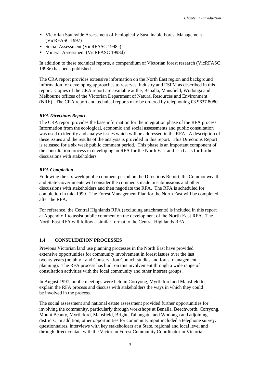- <span id="page-8-0"></span>• Victorian Statewide Assessment of Ecologically Sustainable Forest Management (VicRFASC 1997)
- Social Assessment (VicRFASC 1998c)
- Mineral Assessment (VicRFASC 1998d)

In addition to these technical reports, a compendium of Victorian forest research (VicRFASC 1998e) has been published.

The CRA report provides extensive information on the North East region and background information for developing approaches to reserves, industry and ESFM as described in this report. Copies of the CRA report are available at the, Benalla, Mansfield, Wodonga and Melbourne offices of the Victorian Department of Natural Resources and Environment (NRE). The CRA report and technical reports may be ordered by telephoning 03 9637 8080.

#### *RFA Directions Report*

The CRA report provides the base information for the integration phase of the RFA process. Information from the ecological, economic and social assessments and public consultation was used to identify and analyse issues which will be addressed in the RFA. A description of these issues and the results of the analysis is provided in this report. This Directions Report is released for a six week public comment period. This phase is an important component of the consultation process in developing an RFA for the North East and is a basis for further discussions with stakeholders.

#### *RFA Completion*

Following the six week public comment period on the Directions Report, the Commonwealth and State Governments will consider the comments made in submissions and other discussions with stakeholders and then negotiate the RFA. The RFA is scheduled for completion in mid-1999. The Forest Management Plan for the North East will be completed after the RFA.

For reference, the Central Highlands RFA (excluding attachments) is included in this report at Appendix 1 to assist public comment on the development of the North East RFA. The North East RFA will follow a similar format to the Central Highlands RFA.

#### **1.4 CONSULTATION PROCESSES**

Previous Victorian land use planning processes in the North East have provided extensive opportunities for community involvement in forest issues over the last twenty years (notably Land Conservation Council studies and forest management planning). The RFA process has built on this involvement through a wide range of consultation activities with the local community and other interest groups.

In August 1997, public meetings were held in Corryong, Myrtleford and Mansfield to explain the RFA process and discuss with stakeholders the ways in which they could be involved in the process.

The social assessment and national estate assessment provided further opportunities for involving the community, particularly through workshops at Benalla, Beechworth, Corryong, Mount Beauty, Myrtleford, Mansfield, Bright, Tallangatta and Wodonga and adjoining districts. In addition, other opportunities for community input included a telephone survey, questionnaires, interviews with key stakeholders at a State, regional and local level and through direct contact with the Victorian Forest Community Coordinator in Victoria.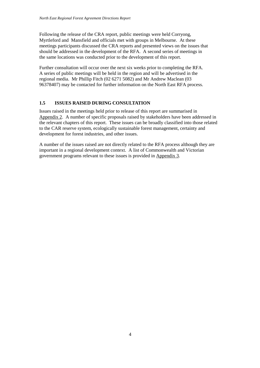<span id="page-9-0"></span>Following the release of the CRA report, public meetings were held Corryong, Myrtleford and Mansfield and officials met with groups in Melbourne. At these meetings participants discussed the CRA reports and presented views on the issues that should be addressed in the development of the RFA. A second series of meetings in the same locations was conducted prior to the development of this report.

Further consultation will occur over the next six weeks prior to completing the RFA. A series of public meetings will be held in the region and will be advertised in the regional media. Mr Phillip Fitch (02 6271 5082) and Mr Andrew Maclean (03 96378407) may be contacted for further information on the North East RFA process.

#### **1.5 ISSUES RAISED DURING CONSULTATION**

Issues raised in the meetings held prior to release of this report are summarised in Appendix 2. A number of specific proposals raised by stakeholders have been addressed in the relevant chapters of this report. These issues can be broadly classified into those related to the CAR reserve system, ecologically sustainable forest management, certainty and development for forest industries, and other issues.

A number of the issues raised are not directly related to the RFA process although they are important in a regional development context. A list of Commonwealth and Victorian government programs relevant to these issues is provided in Appendix 3.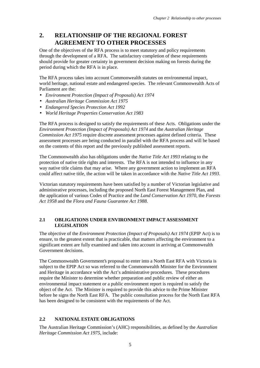# <span id="page-10-0"></span>**2. RELATIONSHIP OF THE REGIONAL FOREST AGREEMENT TO OTHER PROCESSES**

One of the objectives of the RFA process is to meet statutory and policy requirements through the development of a RFA. The satisfactory completion of these requirements should provide for greater certainty in government decision making on forests during the period during which the RFA is in place.

The RFA process takes into account Commonwealth statutes on environmental impact, world heritage, national estate and endangered species. The relevant Commonwealth Acts of Parliament are the:

- *Environment Protection (Impact of Proposals) Act 1974*
- *Australian Heritage Commission Act 1975*
- *Endangered Species Protection Act 1992*
- *World Heritage Properties Conservation Act 1983*

The RFA process is designed to satisfy the requirements of these Acts. Obligations under the *Environment Protection (Impact of Proposals) Act 1974* and the *Australian Heritage Commission Act 1975* require discrete assessment processes against defined criteria. These assessment processes are being conducted in parallel with the RFA process and will be based on the contents of this report and the previously published assessment reports.

The Commonwealth also has obligations under the *Native Title Act 1993* relating to the protection of native title rights and interests. The RFA is not intended to influence in any way native title claims that may arise. Where any government action to implement an RFA could affect native title, the action will be taken in accordance with the *Native Title Act 1993*.

Victorian statutory requirements have been satisfied by a number of Victorian legislative and administrative processes, including the proposed North East Forest Management Plan, and the application of various Codes of Practice and the *Land Conservation Act 1970*, the *Forests Act 1958* and the *Flora and Fauna Guarantee Act 1988*.

#### **2.1 OBLIGATIONS UNDER ENVIRONMENT IMPACT ASSESSMENT LEGISLATION**

The objective of the *Environment Protection (Impact of Proposals) Act 1974* (EPIP Act) is to ensure, to the greatest extent that is practicable, that matters affecting the environment to a significant extent are fully examined and taken into account in arriving at Commonwealth Government decisions.

The Commonwealth Government's proposal to enter into a North East RFA with Victoria is subject to the EPIP Act so was referred to the Commonwealth Minister for the Environment and Heritage in accordance with the Act's administrative procedures. These procedures require the Minister to determine whether preparation and public review of either an environmental impact statement or a public environment report is required to satisfy the object of the Act. The Minister is required to provide this advice to the Prime Minister before he signs the North East RFA. The public consultation process for the North East RFA has been designed to be consistent with the requirements of the Act.

# **2.2 NATIONAL ESTATE OBLIGATIONS**

The Australian Heritage Commission's (AHC) responsibilities, as defined by the *Australian Heritage Commission Act 1975*, include: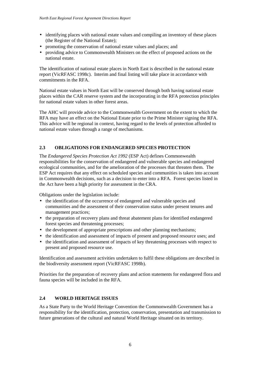- <span id="page-11-0"></span>• identifying places with national estate values and compiling an inventory of these places (the Register of the National Estate);
- promoting the conservation of national estate values and places; and
- providing advice to Commonwealth Ministers on the effect of proposed actions on the national estate.

The identification of national estate places in North East is described in the national estate report (VicRFASC 1998c). Interim and final listing will take place in accordance with commitments in the RFA.

National estate values in North East will be conserved through both having national estate places within the CAR reserve system and the incorporating in the RFA protection principles for national estate values in other forest areas.

The AHC will provide advice to the Commonwealth Government on the extent to which the RFA may have an effect on the National Estate prior to the Prime Minister signing the RFA. This advice will be regional in context, having regard to the levels of protection afforded to national estate values through a range of mechanisms.

# **2.3 OBLIGATIONS FOR ENDANGERED SPECIES PROTECTION**

The *Endangered Species Protection Act 1992* (ESP Act) defines Commonwealth responsibilities for the conservation of endangered and vulnerable species and endangered ecological communities, and for the amelioration of the processes that threaten them. The ESP Act requires that any effect on scheduled species and communities is taken into account in Commonwealth decisions, such as a decision to enter into a RFA. Forest species listed in the Act have been a high priority for assessment in the CRA.

Obligations under the legislation include:

- the identification of the occurrence of endangered and vulnerable species and communities and the assessment of their conservation status under present tenures and management practices;
- the preparation of recovery plans and threat abatement plans for identified endangered forest species and threatening processes;
- the development of appropriate prescriptions and other planning mechanisms;
- the identification and assessment of impacts of present and proposed resource uses; and
- the identification and assessment of impacts of key threatening processes with respect to present and proposed resource use.

Identification and assessment activities undertaken to fulfil these obligations are described in the biodiversity assessment report (VicRFASC 1998b).

Priorities for the preparation of recovery plans and action statements for endangered flora and fauna species will be included in the RFA.

# **2.4 WORLD HERITAGE ISSUES**

As a State Party to the World Heritage Convention the Commonwealth Government has a responsibility for the identification, protection, conservation, presentation and transmission to future generations of the cultural and natural World Heritage situated on its territory.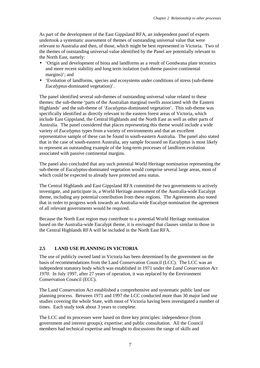<span id="page-12-0"></span>As part of the development of the East Gippsland RFA, an independent panel of experts undertook a systematic assessment of themes of outstanding universal value that were relevant to Australia and then, of those, which might be best represented in Victoria. Two of the themes of outstanding universal value identified by the Panel are potentially relevant to the North East, namely:

- 'Origin and development of biota and landforms as a result of Gondwana plate tectonics and more recent stability and long term isolation (sub-theme passive continental margins)'; and
- 'Evolution of landforms, species and ecosystems under conditions of stress (sub-theme *Eucalyptus*-dominated vegetation)'.

The panel identified several sub-themes of outstanding universal value related to these themes: the sub-theme 'parts of the Australian marginal swells associated with the Eastern Highlands' and the sub-theme of '*Eucalyptus-*dominated vegetation'. This sub-theme was specifically identified as directly relevant to the eastern forest areas of Victoria, which include East Gippsland, the Central Highlands and the North East as well as other parts of Australia. The panel considered that places representing this theme would include a wide variety of *Eucalyptus* types from a variety of environments and that an excellent representative sample of these can be found in south-eastern Australia. The panel also stated that in the case of south-eastern Australia, any sample focussed on *Eucalyptus* is most likely to represent an outstanding example of the long-term processes of landform evolution associated with passive continental margins.

The panel also concluded that any such potential World Heritage nomination representing the sub-theme of *Eucalyptus*-dominated vegetation would comprise several large areas, most of which could be expected to already have protected area status.

The Central Highlands and East Gippsland RFA committed the two governments to actively investigate, and participate in, a World Heritage assessment of the Australia-wide Eucalypt theme, including any potential contribution from these regions. The Agreements also noted that in order to progress work towards an Australia-wide Eucalypt nomination the agreement of all relevant governments would be required.

Because the North East region may contribute to a potential World Heritage nomination based on the Australia-wide Eucalypt theme, it is envisaged that clauses similar to those in the Central Highlands RFA will be included in the North East RFA.

# **2.5 LAND USE PLANNING IN VICTORIA**

The use of publicly owned land in Victoria has been determined by the government on the basis of recommendations from the Land Conservation Council (LCC). The LCC was an independent statutory body which was established in 1971 under the *Land Conservation Act 1970*. In July 1997, after 27 years of operation, it was replaced by the Environment Conservation Council (ECC).

The Land Conservation Act established a comprehensive and systematic public land use planning process. Between 1971 and 1997 the LCC conducted more than 30 major land use studies covering the whole State, with most of Victoria having been investigated a number of times. Each study took about 3 years to complete.

The LCC and its processes were based on three key principles: independence (from government and interest groups); expertise; and public consultation. All the Council members had technical expertise and brought to discussions the range of skills and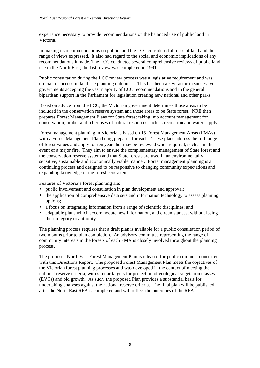experience necessary to provide recommendations on the balanced use of public land in Victoria.

In making its recommendations on public land the LCC considered all uses of land and the range of views expressed. It also had regard to the social and economic implications of any recommendations it made. The LCC conducted several comprehensive reviews of public land use in the North East; the last review was completed in 1991.

Public consultation during the LCC review process was a legislative requirement and was crucial to successful land use planning outcomes. This has been a key factor in successive governments accepting the vast majority of LCC recommendations and in the general bipartisan support in the Parliament for legislation creating new national and other parks.

Based on advice from the LCC, the Victorian government determines those areas to be included in the conservation reserve system and those areas to be State forest. NRE then prepares Forest Management Plans for State forest taking into account management for conservation, timber and other uses of natural resources such as recreation and water supply.

Forest management planning in Victoria is based on 15 Forest Management Areas (FMAs) with a Forest Management Plan being prepared for each. These plans address the full range of forest values and apply for ten years but may be reviewed when required, such as in the event of a major fire. They aim to ensure the complementary management of State forest and the conservation reserve system and that State forests are used in an environmentally sensitive, sustainable and economically viable manner. Forest management planning is a continuing process and designed to be responsive to changing community expectations and expanding knowledge of the forest ecosystem.

Features of Victoria's forest planning are:

- public involvement and consultation in plan development and approval:
- the application of comprehensive data sets and information technology to assess planning options;
- a focus on integrating information from a range of scientific disciplines; and
- adaptable plans which accommodate new information, and circumstances, without losing their integrity or authority.

The planning process requires that a draft plan is available for a public consultation period of two months prior to plan completion. An advisory committee representing the range of community interests in the forests of each FMA is closely involved throughout the planning process.

The proposed North East Forest Management Plan is released for public comment concurrent with this Directions Report. The proposed Forest Management Plan meets the objectives of the Victorian forest planning processes and was developed in the context of meeting the national reserve criteria, with similar targets for protection of ecological vegetation classes (EVCs) and old growth. As such, the proposed Plan provides a substantial basis for undertaking analyses against the national reserve criteria. The final plan will be published after the North East RFA is completed and will reflect the outcomes of the RFA.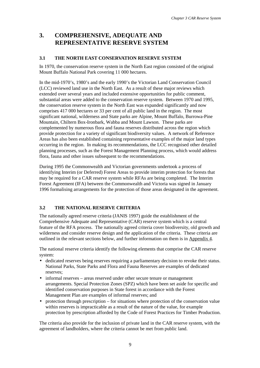# <span id="page-14-0"></span>**3. COMPREHENSIVE, ADEQUATE AND REPRESENTATIVE RESERVE SYSTEM**

# **3.1 THE NORTH EAST CONSERVATION RESERVE SYSTEM**

In 1970, the conservation reserve system in the North East region consisted of the original Mount Buffalo National Park covering 11 000 hectares.

In the mid-1970's, 1980's and the early 1990's the Victorian Land Conservation Council (LCC) reviewed land use in the North East. As a result of these major reviews which extended over several years and included extensive opportunities for public comment, substantial areas were added to the conservation reserve system. Between 1970 and 1995, the conservation reserve system in the North East was expanded significantly and now comprises 417 000 hectares or 33 per cent of all public land in the region. The most significant national, wilderness and State parks are Alpine, Mount Buffalo, Burrowa-Pine Mountain, Chiltern Box-Ironbark, Wabba and Mount Lawson. These parks are complemented by numerous flora and fauna reserves distributed across the region which provide protection for a variety of significant biodiversity values. A network of Reference Areas has also been established containing representative examples of the major land types occurring in the region. In making its recommendations, the LCC recognised other detailed planning processes, such as the Forest Management Planning process, which would address flora, fauna and other issues subsequent to the recommendations.

During 1995 the Commonwealth and Victorian governments undertook a process of identifying Interim (or Deferred) Forest Areas to provide interim protection for forests that may be required for a CAR reserve system while RFAs are being completed. The Interim Forest Agreement (IFA) between the Commonwealth and Victoria was signed in January 1996 formalising arrangements for the protection of those areas designated in the agreement.

# **3.2 THE NATIONAL RESERVE CRITERIA**

The nationally agreed reserve criteria (JANIS 1997) guide the establishment of the Comprehensive Adequate and Representative (CAR) reserve system which is a central feature of the RFA process. The nationally agreed criteria cover biodiversity, old growth and wilderness and consider reserve design and the application of the criteria. These criteria are outlined in the relevant sections below, and further information on them is in Appendix 4.

The national reserve criteria identify the following elements that comprise the CAR reserve system:

- dedicated reserves being reserves requiring a parliamentary decision to revoke their status. National Parks, State Parks and Flora and Fauna Reserves are examples of dedicated reserves;
- informal reserves areas reserved under other secure tenure or management arrangements. Special Protection Zones (SPZ) which have been set aside for specific and identified conservation purposes in State forest in accordance with the Forest Management Plan are examples of informal reserves; and
- protection through prescription for situations where protection of the conservation value within reserves is impracticable as a result of the nature of the value, for example protection by prescription afforded by the Code of Forest Practices for Timber Production.

The criteria also provide for the inclusion of private land in the CAR reserve system, with the agreement of landholders, where the criteria cannot be met from public land.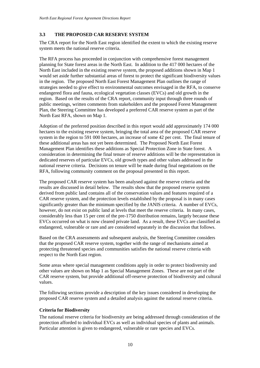# <span id="page-15-0"></span>**3.3 THE PROPOSED CAR RESERVE SYSTEM**

The CRA report for the North East region identified the extent to which the existing reserve system meets the national reserve criteria.

The RFA process has proceeded in conjunction with comprehensive forest management planning for State forest areas in the North East. In addition to the 417 000 hectares of the North East included in the existing reserve system, the proposed additions shown in Map 1 would set aside further substantial areas of forest to protect the significant biodiversity values in the region. The proposed North East Forest Management Plan outlines the range of strategies needed to give effect to environmental outcomes envisaged in the RFA, to conserve endangered flora and fauna, ecological vegetation classes (EVCs) and old growth in the region. Based on the results of the CRA report, community input through three rounds of public meetings, written comments from stakeholders and the proposed Forest Management Plan, the Steering Committee has developed a preferred CAR reserve system as part of the North East RFA, shown on Map 1.

Adoption of the preferred position described in this report would add approximately 174 000 hectares to the existing reserve system, bringing the total area of the proposed CAR reserve system in the region to 591 000 hectares, an increase of some 42 per cent. The final tenure of these additional areas has not yet been determined. The Proposed North East Forest Management Plan identifies these additions as Special Protection Zone in State forest. A consideration in determining the final tenure of reserve additions will be the representation in dedicated reserves of particular EVCs, old growth types and other values addressed in the national reserve criteria. Decisions on tenure will be made during final negotiations on the RFA, following community comment on the proposal presented in this report.

The proposed CAR reserve system has been analysed against the reserve criteria and the results are discussed in detail below. The results show that the proposed reserve system derived from public land contains all of the conservation values and features required of a CAR reserve system, and the protection levels established by the proposal is in many cases significantly greater than the minimum specified by the JANIS criteria. A number of EVCs, however, do not exist on public land at levels that meet the reserve criteria. In many cases, considerably less than 15 per cent of the pre-1750 distribution remains, largely because these EVCs occurred on what is now cleared private land. As a result, these EVCs are classified as endangered, vulnerable or rare and are considered separately in the discussion that follows.

Based on the CRA assessments and subsequent analysis, the Steering Committee considers that the proposed CAR reserve system, together with the range of mechanisms aimed at protecting threatened species and communities satisfies the national reserve criteria with respect to the North East region.

Some areas where special management conditions apply in order to protect biodiversity and other values are shown on Map 1 as Special Management Zones. These are not part of the CAR reserve system, but provide additional off-reserve protection of biodiversity and cultural values.

The following sections provide a description of the key issues considered in developing the proposed CAR reserve system and a detailed analysis against the national reserve criteria.

# **Criteria for Biodiversity**

The national reserve criteria for biodiversity are being addressed through consideration of the protection afforded to individual EVCs as well as individual species of plants and animals. Particular attention is given to endangered, vulnerable or rare species and EVCs.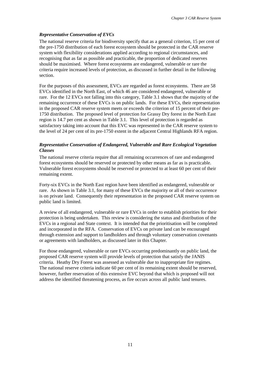#### *Representative Conservation of EVCs*

The national reserve criteria for biodiversity specify that as a general criterion, 15 per cent of the pre-1750 distribution of each forest ecosystem should be protected in the CAR reserve system with flexibility considerations applied according to regional circumstances, and recognising that as far as possible and practicable, the proportion of dedicated reserves should be maximised. Where forest ecosystems are endangered, vulnerable or rare the criteria require increased levels of protection, as discussed in further detail in the following section.

For the purposes of this assessment, EVCs are regarded as forest ecosystems. There are 58 EVCs identified in the North East, of which 46 are considered endangered, vulnerable or rare. For the 12 EVCs not falling into this category, Table 3.1 shows that the majority of the remaining occurrence of these EVCs is on public lands. For these EVCs, their representation in the proposed CAR reserve system meets or exceeds the criterion of 15 percent of their pre-1750 distribution. The proposed level of protection for Grassy Dry forest in the North East region is 14.7 per cent as shown in Table 3.1. This level of protection is regarded as satisfactory taking into account that this EVC was represented in the CAR reserve system to the level of 24 per cent of its pre-1750 extent in the adjacent Central Highlands RFA region.

#### *Representative Conservation of Endangered, Vulnerable and Rare Ecological Vegetation Classes*

The national reserve criteria require that all remaining occurrences of rare and endangered forest ecosystems should be reserved or protected by other means as far as is practicable. Vulnerable forest ecosystems should be reserved or protected to at least 60 per cent of their remaining extent.

Forty-six EVCs in the North East region have been identified as endangered, vulnerable or rare. As shown in Table 3.1, for many of these EVCs the majority or all of their occurrence is on private land. Consequently their representation in the proposed CAR reserve system on public land is limited.

A review of all endangered, vulnerable or rare EVCs in order to establish priorities for their protection is being undertaken. This review is considering the status and distribution of the EVCs in a regional and State context. It is intended that the prioritisation will be completed and incorporated in the RFA. Conservation of EVCs on private land can be encouraged through extension and support to landholders and through voluntary conservation covenants or agreements with landholders, as discussed later in this Chapter.

For those endangered, vulnerable or rare EVCs occurring predominantly on public land, the proposed CAR reserve system will provide levels of protection that satisfy the JANIS criteria. Heathy Dry Forest was assessed as vulnerable due to inappropriate fire regimes. The national reserve criteria indicate 60 per cent of its remaining extent should be reserved, however, further reservation of this extensive EVC beyond that which is proposed will not address the identified threatening process, as fire occurs across all public land tenures.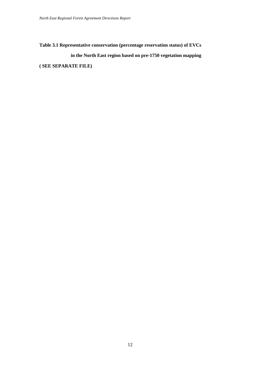**Table 3.1 Representative conservation (percentage reservation status) of EVCs**

**in the North East region based on pre-1750 vegetation mapping**

**( SEE SEPARATE FILE)**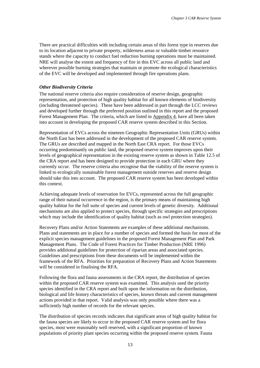There are practical difficulties with including certain areas of this forest type in reserves due to its location adjacent to private property, wilderness areas or valuable timber resource stands where the capacity to conduct fuel reduction burning operations must be maintained. NRE will analyse the extent and frequency of fire in this EVC across all public land and wherever possible burning strategies that maintain or promote the ecological characteristics of the EVC will be developed and implemented through fire operations plans.

#### *Other Biodiversity Criteria*

The national reserve criteria also require consideration of reserve design, geographic representation, and protection of high quality habitat for all known elements of biodiversity (including threatened species). These have been addressed in part through the LCC reviews and developed further through the preferred position outlined in this report and the proposed Forest Management Plan. The criteria, which are listed in Appendix 4, have all been taken into account in developing the proposed CAR reserve system described in this Section.

Representation of EVCs across the nineteen Geographic Representation Units (GRUs) within the North East has been addressed in the development of the proposed CAR reserve system. The GRUs are described and mapped in the North East CRA report. For those EVCs occurring predominantly on public land, the proposed reserve system improves upon their levels of geographical representation in the existing reserve system as shown in Table 12.5 of the CRA report and has been designed to provide protection in each GRU where they currently occur. The reserve criteria also recognise that the viability of the reserve system is linked to ecologically sustainable forest management outside reserves and reserve design should take this into account. The proposed CAR reserve system has been developed within this context.

Achieving adequate levels of reservation for EVCs, represented across the full geographic range of their natural occurrence in the region, is the primary means of maintaining high quality habitat for the full suite of species and current levels of genetic diversity. Additional mechanisms are also applied to protect species, through specific strategies and prescriptions which may include the identification of quality habitat (such as owl protection strategies).

Recovery Plans and/or Action Statements are examples of these additional mechanisms. Plans and statements are in place for a number of species and formed the basis for most of the explicit species management guidelines in the proposed Forest Management Plan and Park Management Plans. The Code of Forest Practices for Timber Production (NRE 1996) provides additional guidelines for protection of riparian areas and associated species. Guidelines and prescriptions from these documents will be implemented within the framework of the RFA. Priorities for preparation of Recovery Plans and Action Statements will be considered in finalising the RFA.

Following the flora and fauna assessments in the CRA report, the distribution of species within the proposed CAR reserve system was examined. This analysis used the priority species identified in the CRA report and built upon the information on the distribution, biological and life history characteristics of species, known threats and current management actions provided in that report. Valid analysis was only possible where there was a sufficiently high number of records for the relevant species.

The distribution of species records indicates that significant areas of high quality habitat for the fauna species are likely to occur in the proposed CAR reserve system and for flora species, most were reasonably well reserved, with a significant proportion of known populations of priority plant species occurring within the proposed reserve system. Fauna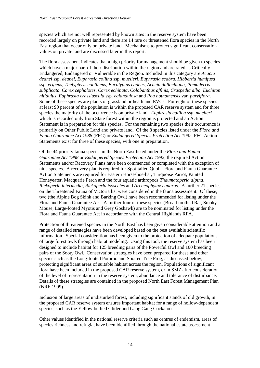species which are not well represented by known sites in the reserve system have been recorded largely on private land and there are 14 rare or threatened flora species in the North East region that occur only on private land. Mechanisms to protect significant conservation values on private land are discussed later in this report.

The flora assessment indicates that a high priority for management should be given to species which have a major part of their distribution within the region and are rated as Critically Endangered, Endangered or Vulnerable in the Region. Included in this category are *Acacia deanei* ssp. *deanei*, *Euphrasia collina* ssp. *muelleri*, *Euphrasia scabra, Hibbertia humifusa ssp. erigens, Thelypteris confluens, Eucalyptus cadens, Acacia dallachiana, Pomaderris subplicata, Carex cephalotes, Carex echinata, Colobanthus affinis, Craspedia alba, Euchiton nitidulus, Euphrasia crassiuscula* ssp. *eglandulosa* and *Poa hothamensis* var. *parviflora*. Some of these species are plants of grassland or heathland EVCs. For eight of these species at least 90 percent of the population is within the proposed CAR reserve system and for three species the majority of the occurrence is on private land. *Euphrasia collina ssp. muelleri* which is recorded only from State forest within the region is protected and an Action Statement is in preparation for this species. For the remaining two species their occurrence is primarily on Other Public Land and private land.Of the 8 species listed under the *Flora and Fauna Guarantee Act 1988* (FFG) or *Endangered Species Protection Act 1992*, FFG Action Statements exist for three of these species, with one in preparation.

Of the 44 priority fauna species in the North East listed under the *Flora and Fauna Guarantee Act 1988* or *Endangered Species Protection Act 1992*, the required Action Statements and/or Recovery Plans have been commenced or completed with the exception of nine species. A recovery plan is required for Spot-tailed Quoll. Flora and Fauna Guarantee Action Statements are required for Eastern Horseshoe-bat, Turquoise Parrot, Painted Honeyeater, Macquarie Perch and the four aquatic arthropods *Thaumatoperla alpina, Riekoperla intermedia, Riekoperla isosceles* and *Archeophylax canarus*. A further 21 species on the Threatened Fauna of Victoria list were considered in the fauna assessment. Of these, two (the Alpine Bog Skink and Barking Owl) have been recommended for listing under the Flora and Fauna Guarantee Act. A further four of these species (Broad-toothed Rat, Smoky Mouse, Large-footed Myotis and Grey Goshawk) are to be nominated for listing under the Flora and Fauna Guarantee Act in accordance with the Central Highlands RFA.

Protection of threatened species in the North East has been given considerable attention and a range of detailed strategies have been developed based on the best available scientific information. Special consideration has been given to the protection of adequate populations of large forest owls through habitat modeling. Using this tool, the reserve system has been designed to include habitat for 125 breeding pairs of the Powerful Owl and 100 breeding pairs of the Sooty Owl. Conservation strategies have been prepared for these and other species such as the Long-footed Potoroo and Spotted Tree Frog, as discussed below, protecting significant areas of suitable habitat across the region. Populations of significant flora have been included in the proposed CAR reserve system, or in SMZ after consideration of the level of representation in the reserve system, abundance and tolerance of disturbance. Details of these strategies are contained in the proposed North East Forest Management Plan (NRE 1999).

Inclusion of large areas of undisturbed forest, including significant stands of old growth, in the proposed CAR reserve system ensures important habitat for a range of hollow-dependent species, such as the Yellow-bellied Glider and Gang Gang Cockatoo.

Other values identified in the national reserve criteria such as centres of endemism, areas of species richness and refugia, have been identified through the national estate assessment.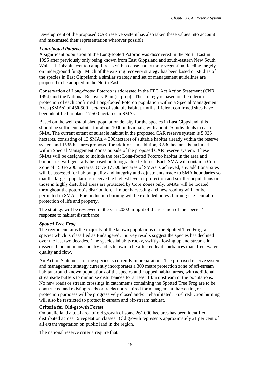Development of the proposed CAR reserve system has also taken these values into account and maximised their representation wherever possible.

#### *Long-footed Potoroo*

A significant population of the Long-footed Potoroo was discovered in the North East in 1995 after previously only being known from East Gippsland and south-eastern New South Wales. It inhabits wet to damp forests with a dense understorey vegetation, feeding largely on underground fungi. Much of the existing recovery strategy has been based on studies of the species in East Gippsland; a similar strategy and set of management guidelines are proposed to be adopted in the North East.

Conservation of Long-footed Potoroo is addressed in the FFG Act Action Statement (CNR 1994) and the National Recovery Plan (in prep). The strategy is based on the interim protection of each confirmed Long-footed Potoroo population within a Special Management Area (SMAs) of 450-500 hectares of suitable habitat, until sufficient confirmed sites have been identified to place 17 500 hectares in SMAs.

Based on the well established population density for the species in East Gippsland, this should be sufficient habitat for about 1000 individuals, with about 25 individuals in each SMA. The current extent of suitable habitat in the proposed CAR reserve system is 5 925 hectares, consisting of 13 SMAs, 4 390hectares of suitable habitat already within the reserve system and 1535 hectares proposed for addition. In addition, 3 530 hectares is included within Special Management Zones outside of the proposed CAR reserve system. These SMAs will be designed to include the best Long-footed Potoroo habitat in the area and boundaries will generally be based on topographic features. Each SMA will contain a Core Zone of 150 to 200 hectares. Once 17 500 hectares of SMAs is achieved, any additional sites will be assessed for habitat quality and integrity and adjustments made to SMA boundaries so that the largest populations receive the highest level of protection and smaller populations or those in highly disturbed areas are protected by Core Zones only. SMAs will be located throughout the potoroo's distribution. Timber harvesting and new roading will not be permitted in SMAs. Fuel reduction burning will be excluded unless burning is essential for protection of life and property.

The strategy will be reviewed in the year 2002 in light of the research of the species' response to habitat disturbance

#### *Spotted Tree Frog*

The region contains the majority of the known populations of the Spotted Tree Frog, a species which is classified as Endangered. Survey results suggest the species has declined over the last two decades. The species inhabits rocky, swiftly-flowing upland streams in dissected mountainous country and is known to be affected by disturbances that affect water quality and flow.

An Action Statement for the species is currently in preparation. The proposed reserve system and management strategy currently incorporates a 300 metre protection zone of off-stream habitat around known populations of the species and mapped habitat areas, with additional streamside buffers to minimise disturbances for at least 1 km upstream of the populations. No new roads or stream crossings in catchments containing the Spotted Tree Frog are to be constructed and existing roads or tracks not required for management, harvesting or protection purposes will be progressively closed and/or rehabilitated. Fuel reduction burning will also be restricted to protect in-stream and off-stream habitat.

#### **Criteria for Old-growth Forest**

On public land a total area of old growth of some 261 000 hectares has been identified, distributed across 15 vegetation classes. Old growth represents approximately 21 per cent of all extant vegetation on public land in the region.

The national reserve criteria require that: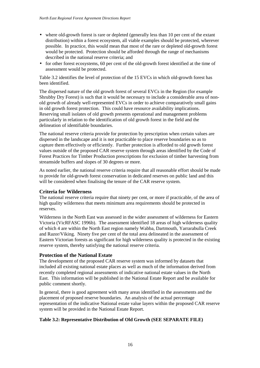- where old-growth forest is rare or depleted (generally less than 10 per cent of the extant distribution) within a forest ecosystem, all viable examples should be protected, wherever possible. In practice, this would mean that most of the rare or depleted old-growth forest would be protected. Protection should be afforded through the range of mechanisms described in the national reserve criteria; and
- for other forest ecosystems, 60 per cent of the old-growth forest identified at the time of assessment would be protected.

Table 3.2 identifies the level of protection of the 15 EVCs in which old-growth forest has been identified.

The dispersed nature of the old growth forest of several EVCs in the Region (for example Shrubby Dry Forest) is such that it would be necessary to include a considerable area of nonold growth of already well-represented EVCs in order to achieve comparatively small gains in old growth forest protection. This could have resource availability implications. Reserving small isolates of old growth presents operational and management problems particularly in relation to the identification of old growth forest in the field and the delineation of identifiable boundaries.

The national reserve criteria provide for protection by prescription when certain values are dispersed in the landscape and it is not practicable to place reserve boundaries so as to capture them effectively or efficiently. Further protection is afforded to old growth forest values outside of the proposed CAR reserve system through areas identified by the Code of Forest Practices for Timber Production prescriptions for exclusion of timber harvesting from streamside buffers and slopes of 30 degrees or more.

As noted earlier, the national reserve criteria require that all reasonable effort should be made to provide for old-growth forest conservation in dedicated reserves on public land and this will be considered when finalising the tenure of the CAR reserve system.

#### **Criteria for Wilderness**

The national reserve criteria require that ninety per cent, or more if practicable, of the area of high quality wilderness that meets minimum area requirements should be protected in reserves.

Wilderness in the North East was assessed in the wider assessment of wilderness for Eastern Victoria (VicRFASC 1996b). The assessment identified 18 areas of high wilderness quality of which 4 are within the North East region namely Wabba, Dartmouth, Yarrarabulla Creek and Razor/Viking. Ninety five per cent of the total area delineated in the assessment of Eastern Victorian forests as significant for high wilderness quality is protected in the existing reserve system, thereby satisfying the national reserve criteria.

#### **Protection of the National Estate**

The development of the proposed CAR reserve system was informed by datasets that included all existing national estate places as well as much of the information derived from recently completed regional assessments of indicative national estate values in the North East. This information will be published in the National Estate Report and be available for public comment shortly.

In general, there is good agreement with many areas identified in the assessments and the placement of proposed reserve boundaries. An analysis of the actual percentage representation of the indicative National estate value layers within the proposed CAR reserve system will be provided in the National Estate Report.

#### **Table 3.2: Representative Distribution of Old Growth (SEE SEPARATE FILE)**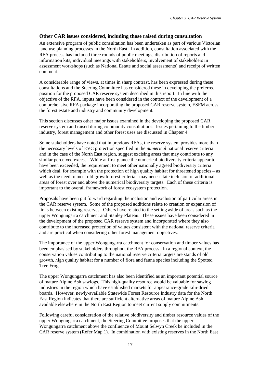#### **Other CAR issues considered, including those raised during consultation**

An extensive program of public consultation has been undertaken as part of various Victorian land use planning processes in the North East. In addition, consultation associated with the RFA process has included three rounds of public meetings, distribution of reports and information kits, individual meetings with stakeholders, involvement of stakeholders in assessment workshops (such as National Estate and social assessments) and receipt of written comment.

A considerable range of views, at times in sharp contrast, has been expressed during these consultations and the Steering Committee has considered these in developing the preferred position for the proposed CAR reserve system described in this report. In line with the objective of the RFA, inputs have been considered in the context of the development of a comprehensive RFA package incorporating the proposed CAR reserve system, ESFM across the forest estate and industry and community development.

This section discusses other major issues examined in the developing the proposed CAR reserve system and raised during community consultations. Issues pertaining to the timber industry, forest management and other forest uses are discussed in Chapter 4.

Some stakeholders have noted that in previous RFAs, the reserve system provides more than the necessary levels of EVC protection specified in the *numerical* national reserve criteria and in the case of the North East region, suggest excising areas that may contribute to any similar perceived excess. While at first glance the numerical biodiversity criteria appear to have been exceeded, the requirement to meet other nationally agreed biodiversity criteria which deal, for example with the protection of high quality habitat for threatened species – as well as the need to meet old growth forest criteria - may necessitate inclusion of additional areas of forest over and above the numerical biodiversity targets. Each of these criteria is important to the overall framework of forest ecosystem protection.

Proposals have been put forward regarding the inclusion and exclusion of particular areas in the CAR reserve system. Some of the proposed additions relate to creation or expansion of links between existing reserves. Others have related to the setting aside of areas such as the upper Wongungarra catchment and Stanley Plateau. These issues have been considered in the development of the proposed CAR reserve system and incorporated where they also contribute to the increased protection of values consistent with the national reserve criteria and are practical when considering other forest management objectives.

The importance of the upper Wongungarra catchment for conservation and timber values has been emphasised by stakeholders throughout the RFA process. In a regional context, the conservation values contributing to the national reserve criteria targets are stands of old growth, high quality habitat for a number of flora and fauna species including the Spotted Tree Frog.

The upper Wongungarra catchment has also been identified as an important potential source of mature Alpine Ash sawlogs. This high-quality resource would be valuable for sawlog industries in the region which have established markets for appearance-grade kiln-dried boards. However, newly-available Statewide Forest Resource Industry data for the North East Region indicates that there are sufficient alternative areas of mature Alpine Ash available elsewhere in the North East Region to meet current supply commitments.

Following careful consideration of the relative biodiversity and timber resource values of the upper Wongungarra catchment, the Steering Committee proposes that the upper Wongungarra catchment above the confluence of Mount Selwyn Creek be included in the CAR reserve system (Refer Map 1). In combination with existing reserves in the North East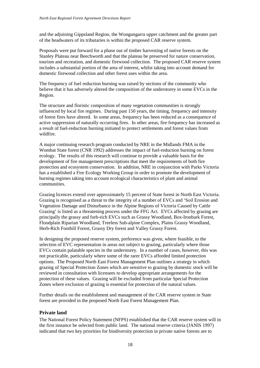and the adjoining Gippsland Region, the Wongungarra upper catchment and the greater part of the headwaters of its tributaries is within the proposed CAR reserve system.

Proposals were put forward for a phase out of timber harvesting of native forests on the Stanley Plateau near Beechworth and that the plateau be preserved for nature conservation, tourism and recreation, and domestic firewood collection. The proposed CAR reserve system includes a substantial portion of the area of interest, whilst taking into account demand for domestic firewood collection and other forest uses within the area.

The frequency of fuel reduction burning was raised by sections of the community who believe that it has adversely altered the composition of the understorey in some EVCs in the Region.

The structure and floristic composition of many vegetation communities is strongly influenced by local fire regimes. During past 150 years, the timing, frequency and intensity of forest fires have altered. In some areas, frequency has been reduced as a consequence of active suppression of naturally occurring fires. In other areas, fire frequency has increased as a result of fuel-reduction burning initiated to protect settlements and forest values from wildfire.

A major continuing research program conducted by NRE in the Midlands FMA in the Wombat State forest (CNR 1992) addresses the impact of fuel-reduction burning on forest ecology. The results of this research will continue to provide a valuable basis for the development of fire management prescriptions that meet the requirements of both fire protection and ecosystem conservation. In addition, NRE in conjunction with Parks Victoria has a established a Fire Ecology Working Group in order to promote the development of burning regimes taking into account ecological characteristics of plant and animal communities.

Grazing licences extend over approximately 15 percent of State forest in North East Victoria. Grazing is recognised as a threat to the integrity of a number of EVCs and 'Soil Erosion and Vegetation Damage and Disturbance in the Alpine Regions of Victoria Caused by Cattle Grazing' is listed as a threatening process under the FFG Act.EVCs affected by grazing are principally the grassy and forb-rich EVCs such as Grassy Woodland, Box-Ironbark Forest, Floodplain Riparian Woodland, Treeless Sub-alpine Complex, Plains Grassy Woodland, Herb-Rich Foothill Forest, Grassy Dry forest and Valley Grassy Forest.

In designing the proposed reserve system, preference was given, where feasible, to the selection of EVC representation in areas not subject to grazing, particularly where those EVCs contain palatable species in the understorey. In a number of cases, however, this was not practicable, particularly where some of the rarer EVCs afforded limited protection options. The Proposed North East Forest Management Plan outlines a strategy in which grazing of Special Protection Zones which are sensitive to grazing by domestic stock will be reviewed in consultation with licensees to develop appropriate arrangements for the protection of these values. Grazing will be excluded from particular Special Protection Zones where exclusion of grazing is essential for protection of the natural values.

Further details on the establishment and management of the CAR reserve system in State forest are provided in the proposed North East Forest Management Plan.

# **Private land**

The National Forest Policy Statement (NFPS) established that the CAR reserve system will in the first instance be selected from public land. The national reserve criteria (JANIS 1997) indicated that two key priorities for biodiversity protection in private native forests are to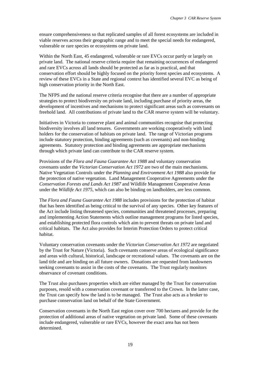ensure comprehensiveness so that replicated samples of all forest ecosystems are included in viable reserves across their geographic range and to meet the special needs for endangered, vulnerable or rare species or ecosystems on private land.

Within the North East, 45 endangered, vulnerable or rare EVCs occur partly or largely on private land. The national reserve criteria require that remaining occurrences of endangered and rare EVCs across all lands should be protected as far as is practical, and that conservation effort should be highly focused on the priority forest species and ecosystems. A review of these EVCs in a State and regional context has identified several EVC as being of high conservation priority in the North East.

The NFPS and the national reserve criteria recognise that there are a number of appropriate strategies to protect biodiversity on private land, including purchase of priority areas, the development of incentives and mechanisms to protect significant areas such as convenants on freehold land. All contributions of private land to the CAR reserve system will be voluntary.

Initiatives in Victoria to conserve plant and animal communities recognise that protecting biodiversity involves all land tenures. Governments are working cooperatively with land holders for the conservation of habitats on private land. The range of Victorian programs include statutory protection, binding agreements (such as covenants) and non-binding agreements. Statutory protection and binding agreements are appropriate mechanisms through which private land can contribute to the CAR reserve system.

Provisions of the *Flora and Fauna Guarantee Act 1988* and voluntary conservation covenants under the *Victorian Conservation Act 1972* are two of the main mechanisms. Native Vegetation Controls under the *Planning and Environment Act 1988* also provide for the protection of native vegetation. Land Management Cooperative Agreements under the *Conservation Forests and Lands Act 1987* and Wildlife Management Cooperative Areas under the *Wildlife Act 1975,* which can also be binding on landholders, are less common.

The *Flora and Fauna Guarantee Act 1988* includes provisions for the protection of habitat that has been identified as being critical to the survival of any species. Other key features of the Act include listing threatened species, communities and threatened processes, preparing and implementing Action Statements which outline management programs for listed species, and establishing protected flora controls which aim to prevent threats on private land and critical habitats. The Act also provides for Interim Protection Orders to protect critical habitat.

Voluntary conservation covenants under the *Victorian Conservation Act 1972* are negotiated by the Trust for Nature (Victoria). Such covenants conserve areas of ecological significance and areas with cultural, historical, landscape or recreational values. The covenants are on the land title and are binding on all future owners. Donations are requested from landowners seeking covenants to assist in the costs of the covenants. The Trust regularly monitors observance of covenant conditions.

The Trust also purchases properties which are either managed by the Trust for conservation purposes, resold with a conservation covenant or transferred to the Crown. In the latter case, the Trust can specify how the land is to be managed. The Trust also acts as a broker to purchase conservation land on behalf of the State Government.

Conservation covenants in the North East region cover over 700 hectares and provide for the protection of additional areas of native vegetation on private land. Some of these covenants include endangered, vulnerable or rare EVCs, however the exact area has not been determined.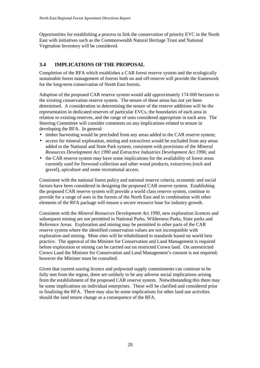<span id="page-25-0"></span>Opportunities for establishing a process to link the conservation of priority EVC in the North East with initiatives such as the Commonwealth Natural Heritage Trust and National Vegetation Inventory will be considered.

# **3.4 IMPLICATIONS OF THE PROPOSAL**

Completion of the RFA which establishes a CAR forest reserve system and the ecologically sustainable forest management of forests both on and off-reserve will provide the framework for the long-term conservation of North East forests.

Adoption of the proposed CAR reserve system would add approximately 174 000 hectares to the existing conservation reserve system. The tenure of these areas has not yet been determined. A consideration in determining the tenure of the reserve additions will be the representation in dedicated reserves of particular EVCs, the boundaries of each area in relation to existing reserves, and the range of uses considered appropriate in each area. The Steering Committee will consider comments on any implications related to tenure in developing the RFA. In general:

- timber harvesting would be precluded from any areas added to the CAR reserve system;
- access for mineral exploration, mining and extractives would be excluded from any areas added to the National and State Park system, consistent with provisions of the *Mineral Resources Development Act 1990* and *Extractive Industries Development Act 1996*; and
- the CAR reserve system may have some implications for the availability of forest areas currently used for firewood collection and other wood products, extractives (rock and gravel), apiculture and some recreational access.

Consistent with the national forest policy and national reserve criteria, economic and social factors have been considered in designing the proposed CAR reserve system. Establishing the proposed CAR reserve system will provide a world class reserve system, continue to provide for a range of uses in the forests of the North East and in combination with other elements of the RFA package will ensure a secure resource base for industry growth.

Consistent with the *Mineral Resources Development Act 1990*, new exploration licences and subsequent mining are not permitted in National Parks, Wilderness Parks, State parks and Reference Areas. Exploration and mining may be permitted in other parts of the CAR reserve system where the identified conservation values are not incompatible with exploration and mining. Mine sites will be rehabilitated to standards based on world best practice. The approval of the Minister for Conservation and Land Management is required before exploration or mining can be carried out on restricted Crown land. On unrestricted Crown Land the Minister for Conservation and Land Management's consent is not required; however the Minister must be consulted.

Given that current sawlog licence and pulpwood supply commitments can continue to be fully met from the region, there are unlikely to be any adverse social implications arising from the establishment of the proposed CAR reserve system. Notwithstanding this there may be some implications on individual enterprises. These will be clarified and considered prior to finalising the RFA. There may also be some implications for other land use activities should the land tenure change as a consequence of the RFA.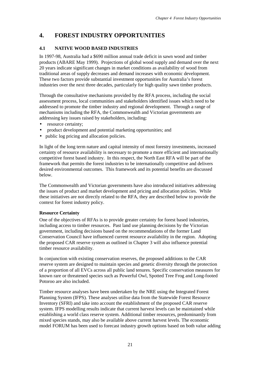# <span id="page-26-0"></span>**4. FOREST INDUSTRY OPPORTUNITIES**

# **4.1 NATIVE WOOD BASED INDUSTRIES**

In 1997-98, Australia had a \$690 million annual trade deficit in sawn wood and timber products (ABARE May 1999). Projections of global wood supply and demand over the next 20 years indicate significant changes in market conditions as availability of wood from traditional areas of supply decreases and demand increases with economic development. These two factors provide substantial investment opportunities for Australia's forest industries over the next three decades, particularly for high quality sawn timber products.

Through the consultative mechanisms provided by the RFA process, including the social assessment process, local communities and stakeholders identified issues which need to be addressed to promote the timber industry and regional development. Through a range of mechanisms including the RFA, the Commonwealth and Victorian governments are addressing key issues raised by stakeholders, including:

- resource certainty:
- product development and potential marketing opportunities; and
- public log pricing and allocation policies.

In light of the long term nature and capital intensity of most forestry investments, increased certainty of resource availability is necessary to promote a more efficient and internationally competitive forest based industry. In this respect, the North East RFA will be part of the framework that permits the forest industries to be internationally competitive and delivers desired environmental outcomes. This framework and its potential benefits are discussed below.

The Commonwealth and Victorian governments have also introduced initiatives addressing the issues of product and market development and pricing and allocation policies. While these initiatives are not directly related to the RFA, they are described below to provide the context for forest industry policy.

#### **Resource Certainty**

One of the objectives of RFAs is to provide greater certainty for forest based industries, including access to timber resources. Past land use planning decisions by the Victorian government, including decisions based on the recommendations of the former Land Conservation Council have influenced current resource availability in the region. Adopting the proposed CAR reserve system as outlined in Chapter 3 will also influence potential timber resource availability.

In conjunction with existing conservation reserves, the proposed additions to the CAR reserve system are designed to maintain species and genetic diversity through the protection of a proportion of all EVCs across all public land tenures. Specific conservation measures for known rare or threatened species such as Powerful Owl, Spotted Tree Frog and Long-footed Potoroo are also included.

Timber resource analyses have been undertaken by the NRE using the Integrated Forest Planning System (IFPS). These analyses utilise data from the Statewide Forest Resource Inventory (SFRI) and take into account the establishment of the proposed CAR reserve system. IFPS modelling results indicate that current harvest levels can be maintained while establishing a world class reserve system. Additional timber resources, predominantly from mixed species stands, may also be available above current harvest levels. The economic model FORUM has been used to forecast industry growth options based on both value adding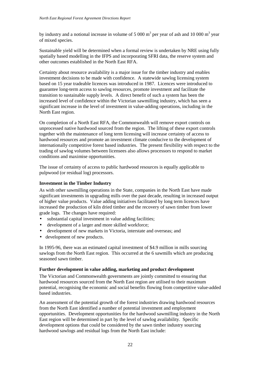by industry and a notional increase in volume of 5 000  $m<sup>3</sup>$  per year of ash and 10 000  $m<sup>3</sup>$  year of mixed species.

Sustainable yield will be determined when a formal review is undertaken by NRE using fully spatially based modelling in the IFPS and incorporating SFRI data, the reserve system and other outcomes established in the North East RFA.

Certainty about resource availability is a major issue for the timber industry and enables investment decisions to be made with confidence. A statewide sawlog licensing system based on 15 year tradeable licences was introduced in 1987. Licences were introduced to guarantee long-term access to sawlog resources, promote investment and facilitate the transition to sustainable supply levels. A direct benefit of such a system has been the increased level of confidence within the Victorian sawmilling industry, which has seen a significant increase in the level of investment in value-adding operations, including in the North East region.

On completion of a North East RFA, the Commonwealth will remove export controls on unprocessed native hardwood sourced from the region. The lifting of these export controls together with the maintenance of long term licensing will increase certainty of access to hardwood resources and promote an investment climate conducive to the development of internationally competitive forest based industries. The present flexibility with respect to the trading of sawlog volumes between licensees also allows processors to respond to market conditions and maximise opportunities.

The issue of certainty of access to public hardwood resources is equally applicable to pulpwood (or residual log) processors.

#### **Investment in the Timber Industry**

As with other sawmilling operations in the State, companies in the North East have made significant investments in upgrading mills over the past decade, resulting in increased output of higher value products. Value adding initiatives facilitated by long term licences have increased the production of kiln dried timber and the recovery of sawn timber from lower grade logs. The changes have required:

- substantial capital investment in value adding facilities;
- development of a larger and more skilled workforce;
- development of new markets in Victoria, interstate and overseas; and
- development of new products.

In 1995-96, there was an estimated capital investment of \$4.9 million in mills sourcing sawlogs from the North East region. This occurred at the 6 sawmills which are producing seasoned sawn timber.

#### **Further development in value adding, marketing and product development**

The Victorian and Commonwealth governments are jointly committed to ensuring that hardwood resources sourced from the North East region are utilised to their maximum potential, recognising the economic and social benefits flowing from competitive value-added based industries.

An assessment of the potential growth of the forest industries drawing hardwood resources from the North East identified a number of potential investment and employment opportunities. Development opportunities for the hardwood sawmilling industry in the North East region will be determined in part by the level of sawlog availability. Specific development options that could be considered by the sawn timber industry sourcing hardwood sawlogs and residual logs from the North East include: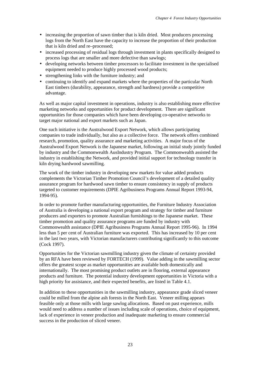- increasing the proportion of sawn timber that is kiln dried. Most producers processing logs from the North East have the capacity to increase the proportion of their production that is kiln dried and re–processed;
- increased processing of residual logs through investment in plants specifically designed to process logs that are smaller and more defective than sawlogs;
- developing networks between timber processors to facilitate investment in the specialised equipment needed to produce highly processed wood products;
- strengthening links with the furniture industry; and
- continuing to identify and expand markets where the properties of the particular North East timbers (durability, appearance, strength and hardness) provide a competitive advantage.

As well as major capital investment in operations, industry is also establishing more effective marketing networks and opportunities for product development. There are significant opportunities for those companies which have been developing co-operative networks to target major national and export markets such as Japan.

One such initiative is the Australwood Export Network, which allows participating companies to trade individually, but also as a collective force. The network offers combined research, promotion, quality assurance and marketing activities. A major focus of the Australwood Export Network is the Japanese market, following an initial study jointly funded by industry and the Commonwealth AusIndustry Program. The Commonwealth assisted the industry in establishing the Network, and provided initial support for technology transfer in kiln drying hardwood sawmilling.

The work of the timber industry in developing new markets for value added products complements the Victorian Timber Promotion Council's development of a detailed quality assurance program for hardwood sawn timber to ensure consistency in supply of products targeted to customer requirements (DPIE Agribusiness Programs Annual Report 1993-94, 1994-95).

In order to promote further manufacturing opportunities, the Furniture Industry Association of Australia is developing a national export program and strategy for timber and furniture producers and exporters to promote Australian furnishings to the Japanese market. These timber promotion and quality assurance programs are funded by industry with Commonwealth assistance (DPIE Agribusiness Programs Annual Report 1995-96). In 1994 less than 5 per cent of Australian furniture was exported. This has increased by 10 per cent in the last two years, with Victorian manufacturers contributing significantly to this outcome (Cock 1997).

Opportunities for the Victorian sawmilling industry given the climate of certainty provided by an RFA have been reviewed by FORTECH (1999). Value adding in the sawmilling sector offers the greatest scope as market opportunities are available both domestically and internationally. The most promising product outlets are in flooring, external appearance products and furniture. The potential industry development opportunities in Victoria with a high priority for assistance, and their expected benefits, are listed in Table 4.1.

In addition to these opportunities in the sawmilling industry, appearance grade sliced veneer could be milled from the alpine ash forests in the North East. Veneer milling appears feasible only at those mills with large sawlog allocations. Based on past experience, mills would need to address a number of issues including scale of operations, choice of equipment, lack of experience in veneer production and inadequate marketing to ensure commercial success in the production of sliced veneer.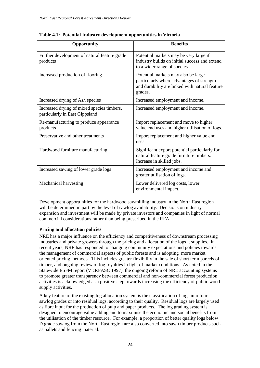| Opportunity                                                                  | <b>Benefits</b>                                                                                                                               |
|------------------------------------------------------------------------------|-----------------------------------------------------------------------------------------------------------------------------------------------|
| Further development of natural feature grade<br>products                     | Potential markets may be very large if<br>industry builds on initial success and extend<br>to a wider range of species.                       |
| Increased production of flooring                                             | Potential markets may also be large<br>particularly where advantages of strength<br>and durability are linked with natural feature<br>grades. |
| Increased drying of Ash species                                              | Increased employment and income.                                                                                                              |
| Increased drying of mixed species timbers,<br>particularly in East Gippsland | Increased employment and income.                                                                                                              |
| Re-manufacturing to produce appearance<br>products                           | Import replacement and move to higher<br>value end uses and higher utilisation of logs.                                                       |
| Preservative and other treatments                                            | Import replacement and higher value end<br>uses.                                                                                              |
| Hardwood furniture manufacturing                                             | Significant export potential particularly for<br>natural feature grade furniture timbers.<br>Increase in skilled jobs.                        |
| Increased sawing of lower grade logs                                         | Increased employment and income and<br>greater utilisation of logs.                                                                           |
| Mechanical harvesting                                                        | Lower delivered log costs, lower<br>environmental impact.                                                                                     |

**Table 4.1: Potential Industry development opportunities in Victoria**

Development opportunities for the hardwood sawmilling industry in the North East region will be determined in part by the level of sawlog availability. Decisions on industry expansion and investment will be made by private investors and companies in light of normal commercial considerations rather than being prescribed in the RFA.

# **Pricing and allocation policies**

NRE has a major influence on the efficiency and competitiveness of downstream processing industries and private growers through the pricing and allocation of the logs it supplies. In recent years, NRE has responded to changing community expectations and policies towards the management of commercial aspects of public forests and is adopting more market oriented pricing methods. This includes greater flexibility in the sale of short term parcels of timber, and ongoing review of log royalties in light of market conditions. As noted in the Statewide ESFM report (VicRFASC 1997), the ongoing reform of NRE accounting systems to promote greater transparency between commercial and non-commercial forest production activities is acknowledged as a positive step towards increasing the efficiency of public wood supply activities.

A key feature of the existing log allocation system is the classification of logs into four sawlog grades or into residual logs, according to their quality. Residual logs are largely used as fibre input for the production of pulp and paper products. The log grading system is designed to encourage value adding and to maximise the economic and social benefits from the utilisation of the timber resource. For example, a proportion of better quality logs below D grade sawlog from the North East region are also converted into sawn timber products such as pallets and fencing material.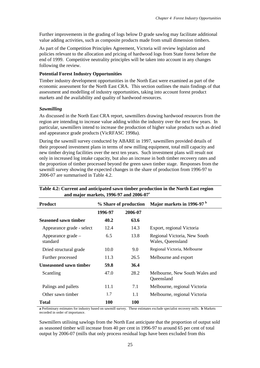Further improvements in the grading of logs below D grade sawlog may facilitate additional value adding activities, such as composite products made from small dimension timbers.

As part of the Competition Principles Agreement, Victoria will review legislation and policies relevant to the allocation and pricing of hardwood logs from State forest before the end of 1999. Competitive neutrality principles will be taken into account in any changes following the review.

#### **Potential Forest Industry Opportunities**

Timber industry development opportunities in the North East were examined as part of the economic assessment for the North East CRA. This section outlines the main findings of that assessment and modelling of industry opportunities, taking into account forest product markets and the availability and quality of hardwood resources.

#### *Sawmilling*

As discussed in the North East CRA report, sawmillers drawing hardwood resources from the region are intending to increase value adding within the industry over the next few years. In particular, sawmillers intend to increase the production of higher value products such as dried and appearance grade products (VicRFASC 1998a).

During the sawmill survey conducted by ABARE in 1997, sawmillers provided details of their proposed investment plans in terms of new milling equipment, total mill capacity and new timber drying facilities over the next ten years. Such investment plans will result not only in increased log intake capacity, but also an increase in both timber recovery rates and the proportion of timber processed beyond the green sawn timber stage. Responses from the sawmill survey showing the expected changes in the share of production from 1996-97 to 2006-07 are summarised in Table 4.2.

| and $max[01]$ markets, $1990 - 97$ and $2000 - 07$ |                       |         |                                                   |  |  |
|----------------------------------------------------|-----------------------|---------|---------------------------------------------------|--|--|
| <b>Product</b>                                     | % Share of production |         | Major markets in 1996-97 <sup>b</sup>             |  |  |
|                                                    | 1996-97               | 2006-07 |                                                   |  |  |
| <b>Seasoned sawn timber</b>                        | 40.2                  | 63.6    |                                                   |  |  |
| Appearance grade - select                          | 12.4                  | 14.3    | Export, regional Victoria                         |  |  |
| Appearance grade –<br>standard                     | 6.5                   | 13.8    | Regional Victoria, New South<br>Wales, Queensland |  |  |
| Dried structural grade                             | 10.0                  | 9.0     | Regional Victoria, Melbourne                      |  |  |
| Further processed                                  | 11.3                  | 26.5    | Melbourne and export                              |  |  |
| <b>Unseasoned sawn timber</b>                      | 59.8                  | 36.4    |                                                   |  |  |
| Scantling                                          | 47.0                  | 28.2    | Melbourne, New South Wales and<br>Queensland      |  |  |
| Palings and pallets                                | 11.1                  | 7.1     | Melbourne, regional Victoria                      |  |  |
| Other sawn timber                                  | 1.7                   | 1.1     | Melbourne, regional Victoria                      |  |  |
| Total                                              | 100                   | 100     |                                                   |  |  |

# **Table 4.2: Current and anticipated sawn timber production in the North East region and major markets, 1996-97 and 2006-07<sup>a</sup>**

**a** Preliminary estimates for industry based on sawmill survey. These estimates exclude specialist recovery mills. **b** Markets recorded in order of importance.

Sawmillers utilising sawlogs from the North East anticipate that the proportion of output sold as seasoned timber will increase from 40 per cent in 1996-97 to around 65 per cent of total output by 2006-07 (mills that only process residual logs have been excluded from this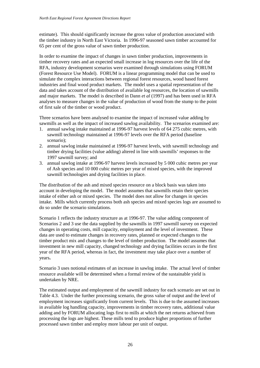estimate). This should significantly increase the gross value of production associated with the timber industry in North East Victoria. In 1996-97 seasoned sawn timber accounted for 65 per cent of the gross value of sawn timber production.

In order to examine the impact of changes in sawn timber production, improvements in timber recovery rates and an expected small increase in log resources over the life of the RFA, industry development scenarios were examined through simulations using FORUM (Forest Resource Use Model). FORUM is a linear programming model that can be used to simulate the complex interactions between regional forest resources, wood based forest industries and final wood product markets. The model uses a spatial representation of the data and takes account of the distribution of available log resources, the location of sawmills and major markets. The model is described in Dann *et al* (1997) and has been used in RFA analyses to measure changes in the value of production of wood from the stump to the point of first sale of the timber or wood product.

Three scenarios have been analysed to examine the impact of increased value adding by sawmills as well as the impact of increased sawlog availability. The scenarios examined are:

- 1. annual sawlog intake maintained at 1996-97 harvest levels of 64 275 cubic metres, with sawmill technology maintained at 1996-97 levels over the RFA period (baseline scenario);
- 2. annual sawlog intake maintained at 1996-97 harvest levels, with sawmill technology and timber drying facilities (value adding) altered in line with sawmills' responses to the 1997 sawmill survey; and
- 3. annual sawlog intake at 1996-97 harvest levels increased by 5 000 cubic metres per year of Ash species and 10 000 cubic metres per year of mixed species, with the improved sawmill technologies and drying facilities in place.

The distribution of the ash and mixed species resource on a block basis was taken into account in developing the model. The model assumes that sawmills retain their species intake of either ash or mixed species. The model does not allow for changes in species intake. Mills which currently process both ash species and mixed species logs are assumed to do so under the scenario simulations.

Scenario 1 reflects the industry structure as at 1996-97. The value adding component of Scenarios 2 and 3 use the data supplied by the sawmills in 1997 sawmill survey on expected changes in operating costs, mill capacity, employment and the level of investment. These data are used to estimate changes in recovery rates, planned or expected changes to the timber product mix and changes to the level of timber production. The model assumes that investment in new mill capacity, changed technology and drying facilities occurs in the first year of the RFA period, whereas in fact, the investment may take place over a number of years**.**

Scenario 3 uses notional estimates of an increase in sawlog intake. The actual level of timber resource available will be determined when a formal review of the sustainable yield is undertaken by NRE.

The estimated output and employment of the sawmill industry for each scenario are set out in Table 4.3. Under the further processing scenario, the gross value of output and the level of employment increases significantly from current levels. This is due to the assumed increases in available log handling capacity, improvements in timber recovery rates, additional value adding and by FORUM allocating logs first to mills at which the net returns achieved from processing the logs are highest. These mills tend to produce higher proportions of further processed sawn timber and employ more labour per unit of output.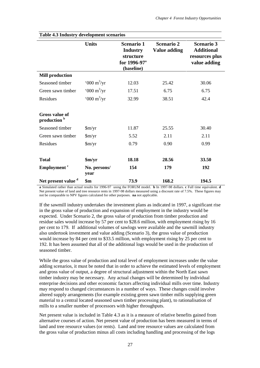| таріс 4.5 тичнян у четсюршені эсепатіоз |                               |                                                                                             |                                          |                                                                          |
|-----------------------------------------|-------------------------------|---------------------------------------------------------------------------------------------|------------------------------------------|--------------------------------------------------------------------------|
|                                         | <b>Units</b>                  | <b>Scenario 1</b><br><b>Industry</b><br>structure<br>for 1996-97 <sup>a</sup><br>(baseline) | <b>Scenario 2</b><br><b>Value adding</b> | <b>Scenario 3</b><br><b>Additional</b><br>resources plus<br>value adding |
| <b>Mill production</b>                  |                               |                                                                                             |                                          |                                                                          |
| Seasoned timber                         | $000 \text{ m}^3/\text{yr}$   | 12.03                                                                                       | 25.42                                    | 30.06                                                                    |
| Green sawn timber                       | $000 \text{ m}^3/\text{yr}$   | 17.51                                                                                       | 6.75                                     | 6.75                                                                     |
| Residues                                | $000 \text{ m}^3/\text{yr}$   | 32.99                                                                                       | 38.51                                    | 42.4                                                                     |
| <b>Gross value of</b><br>production b   |                               |                                                                                             |                                          |                                                                          |
| Seasoned timber                         | $\frac{\text{Sm}}{\text{yr}}$ | 11.87                                                                                       | 25.55                                    | 30.40                                                                    |
| Green sawn timber                       | $\frac{\text{Sm}}{\text{yr}}$ | 5.52                                                                                        | 2.11                                     | 2.11                                                                     |
| Residues                                | $\frac{\text{Sm}}{\text{yr}}$ | 0.79                                                                                        | 0.90                                     | 0.99                                                                     |
| <b>Total</b>                            | $\frac{\sin(yr)}{2}$          | 18.18                                                                                       | 28.56                                    | 33.50                                                                    |
| Employment <sup>c</sup>                 | No. persons/<br>year          | 154                                                                                         | 179                                      | 192                                                                      |
| Net present value d                     | $\mathbf{\$m}$                | 73.9                                                                                        | 168.2                                    | 194.5                                                                    |

**Table 4.3 Industry development scenarios**

**a** Simulated rather than actual results for 1996-97 using the FORUM model. **b** In 1997-98 dollars. **c** Full time equivalent. **d** Net present value of land and tree resource rents in 1997-98 dollars measured using a discount rate of 7.5%. These figures may not be comparable to NPV figures calculated for other purposes. **na** not applicable.

If the sawmill industry undertakes the investment plans as indicated in 1997, a significant rise in the gross value of production and expansion of employment in the industry would be expected. Under Scenario 2, the gross value of production from timber production and residue sales would increase by 57 per cent to \$28.6 million, with employment rising by 16 per cent to 179. If additional volumes of sawlogs were available and the sawmill industry also undertook investment and value adding (Scenario 3), the gross value of production would increase by 84 per cent to \$33.5 million, with employment rising by 25 per cent to 192. It has been assumed that all of the additional logs would be used in the production of seasoned timber.

While the gross value of production and total level of employment increases under the value adding scenarios, it must be noted that in order to achieve the estimated levels of employment and gross value of output, a degree of structural adjustment within the North East sawn timber industry may be necessary. Any actual changes will be determined by individual enterprise decisions and other economic factors affecting individual mills over time. Industry may respond to changed circumstances in a number of ways. These changes could involve altered supply arrangements (for example existing green sawn timber mills supplying green material to a central located seasoned sawn timber processing plant), to rationalisation of mills to a smaller number of processors with higher throughputs.

Net present value is included in Table 4.3 as it is a measure of relative benefits gained from alternative courses of action. Net present value of production has been measured in terms of land and tree resource values (or rents). Land and tree resource values are calculated from the gross value of production minus all costs including handling and processing of the logs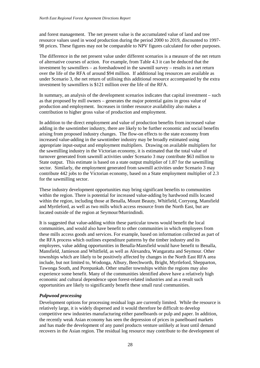and forest management. The net present value is the accumulated value of land and tree resource values used in wood production during the period 2000 to 2019, discounted to 1997- 98 prices. These figures may not be comparable to NPV figures calculated for other purposes.

The difference in the net present value under different scenarios is a measure of the net return of alternative courses of action. For example, from Table 4.3 it can be deduced that the investment by sawmillers – as foreshadowed in the sawmill survey – results in a net return over the life of the RFA of around \$94 million. If additional log resources are available as under Scenario 3, the net return of utilising this additional resource accompanied by the extra investment by sawmillers is \$121 million over the life of the RFA.

In summary, an analysis of the development scenarios indicates that capital investment – such as that proposed by mill owners – generates the major potential gains in gross value of production and employment. Increases in timber resource availability also makes a contribution to higher gross value of production and employment.

In addition to the direct employment and value of production benefits from increased value adding in the sawntimber industry, there are likely to be further economic and social benefits arising from proposed industry changes. The flow-on effects to the state economy from increased value-adding in the sawntimber industry may be broadly estimated using appropriate input-output and employment multipliers. Drawing on available multipliers for the sawmilling industry in the Victorian economy, it is estimated that the total value of turnover generated from sawmill activities under Scenario 3 may contribute \$63 million to State output. This estimate is based on a state output multiplier of 1.87 for the sawmilling sector. Similarly, the employment generated from sawmill activities under Scenario 3 may contribute 442 jobs to the Victorian economy, based on a State employment multiplier of 2.3 for the sawmilling sector.

These industry development opportunities may bring significant benefits to communities within the region. There is potential for increased value-adding by hardwood mills located within the region, including those at Benalla, Mount Beauty, Whitfield, Corryong, Mansfield and Myrtleford, as well as two mills which access resource from the North East, but are located outside of the region at Seymour/Murrindindi.

It is suggested that value-adding within these particular towns would benefit the local communities, and would also have benefit to other communities in which employees from these mills access goods and services. For example, based on information collected as part of the RFA process which outlines expenditure patterns by the timber industry and its employees, value adding opportunities in Benalla-Mansfield would have benefit to Benalla, Mansfield, Jamieson and Whitfield, as well as Alexandra, Wangaratta and Seymour. Other townships which are likely to be positively affected by changes in the North East RFA area include, but not limited to, Wodonga, Albury, Beechworth, Bright, Myrtleford, Shepparton, Tawonga South, and Porepunkah. Other smaller townships within the regions may also experience some benefit. Many of the communities identified above have a relatively high economic and cultural dependence upon forest-related industries and as a result such opportunities are likely to significantly benefit these small rural communities.

#### *Pulpwood processing*

Development options for processing residual logs are currently limited. While the resource is relatively large, it is widely dispersed and it would therefore be difficult to develop competitive new industries manufacturing either panelboards or pulp and paper. In addition, the recently weak Asian economy has seen the depression of prices in panelboard markets and has made the development of any panel products venture unlikely at least until demand recovers in the Asian region. The residual log resource may contribute to the development of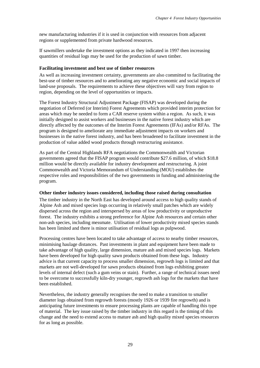new manufacturing industries if it is used in conjunction with resources from adjacent regions or supplemented from private hardwood resources.

If sawmillers undertake the investment options as they indicated in 1997 then increasing quantities of residual logs may be used for the production of sawn timber.

#### **Facilitating investment and best use of timber resources**

As well as increasing investment certainty, governments are also committed to facilitating the best-use of timber resources and to ameliorating any negative economic and social impacts of land-use proposals. The requirements to achieve these objectives will vary from region to region, depending on the level of opportunities or impacts.

The Forest Industry Structural Adjustment Package (FISAP) was developed during the negotiation of Deferred (or Interim) Forest Agreements which provided interim protection for areas which may be needed to form a CAR reserve system within a region. As such, it was initially designed to assist workers and businesses in the native forest industry which are directly affected by the outcomes of the Interim Forest Agreements (IFAs) and/or RFAs. The program is designed to ameliorate any immediate adjustment impacts on workers and businesses in the native forest industry, and has been broadened to facilitate investment in the production of value added wood products through restructuring assistance.

As part of the Central Highlands RFA negotiations the Commonwealth and Victorian governments agreed that the FISAP program would contribute \$27.6 million, of which \$18.8 million would be directly available for industry development and restructuring. A joint Commonwealth and Victoria Memorandum of Understanding (MOU) establishes the respective roles and responsibilities of the two governments in funding and administering the program.

#### **Other timber industry issues considered, including those raised during consultation**

The timber industry in the North East has developed around access to high quality stands of Alpine Ash and mixed species logs occurring in relatively small patches which are widely dispersed across the region and interspersed by areas of low productivity or unproductive forest. The industry exhibits a strong preference for Alpine Ash resources and certain other non-ash species, including messmate. Utilisation of lower productivity mixed species stands has been limited and there is minor utilisation of residual logs as pulpwood.

Processing centres have been located to take advantage of access to nearby timber resources, minimising haulage distances. Past investments in plant and equipment have been made to take advantage of high quality, large dimension, mature ash and mixed species logs. Markets have been developed for high quality sawn products obtained from these logs. Industry advice is that current capacity to process smaller dimension, regrowth logs is limited and that markets are not well-developed for sawn products obtained from logs exhibiting greater levels of internal defect (such a gum veins or stain). Further, a range of technical issues need to be overcome to successfully kiln-dry younger, regrowth ash logs for the markets that have been established.

Nevertheless, the industry generally recognises the need to make a transition to smaller diameter logs obtained from regrowth forests (mostly 1926 or 1939 fire regrowth) and is anticipating future investments to ensure processing plants are capable of handling this type of material. The key issue raised by the timber industry in this regard is the timing of this change and the need to extend access to mature ash and high quality mixed species resources for as long as possible.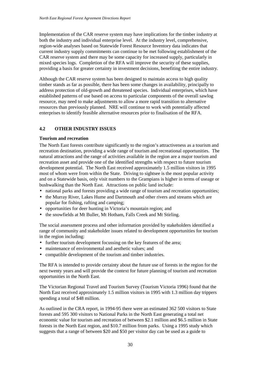<span id="page-35-0"></span>Implementation of the CAR reserve system may have implications for the timber industry at both the industry and individual enterprise level. At the industry level, comprehensive, region-wide analyses based on Statewide Forest Resource Inventory data indicates that current industry supply commitments can continue to be met following establishment of the CAR reserve system and there may be some capacity for increased supply, particularly in mixed species logs. Completion of the RFA will improve the security of these supplies, providing a basis for greater certainty in investment decisions, benefiting the entire industry.

Although the CAR reserve system has been designed to maintain access to high quality timber stands as far as possible, there has been some changes in availability, principally to address protection of old-growth and threatened species. Individual enterprises, which have established patterns of use based on access to particular components of the overall sawlog resource, may need to make adjustments to allow a more rapid transition to alternative resources than previously planned. NRE will continue to work with potentially affected enterprises to identify feasible alternative resources prior to finalisation of the RFA.

# **4.2 OTHER INDUSTRY ISSUES**

#### **Tourism and recreation**

The North East forests contribute significantly to the region's attractiveness as a tourism and recreation destination, providing a wide range of tourism and recreational opportunities. The natural attractions and the range of activities available in the region are a major tourism and recreation asset and provide one of the identified strengths with respect to future tourism development potential. The North East received approximately 1.5 million visitors in 1995 most of whom were from within the State. Driving to sightsee is the most popular activity and on a Statewide basis, only visit numbers to the Grampians is higher in terms of useage or bushwalking than the North East. Attractions on public land include:

- national parks and forests providing a wide range of tourism and recreation opportunities;
- the Murray River, Lakes Hume and Dartmouth and other rivers and streams which are popular for fishing, rafting and camping;
- opportunities for deer hunting in Victoria's mountain region; and
- the snowfields at Mt Buller, Mt Hotham, Falls Creek and Mt Stirling.

The social assessment process and other information provided by stakeholders identified a range of community and stakeholder issues related to development opportunities for tourism in the region including:

- further tourism development focussing on the key features of the area;
- maintenance of environmental and aesthetic values; and
- compatible development of the tourism and timber industries.

The RFA is intended to provide certainty about the future use of forests in the region for the next twenty years and will provide the context for future planning of tourism and recreation opportunities in the North East.

The Victorian Regional Travel and Tourism Survey (Tourism Victoria 1996) found that the North East received approximately 1.5 million visitors in 1995 with 1.3 million day trippers spending a total of \$48 million.

As outlined in the CRA report, in 1994-95 there were an estimated 362 500 visitors to State forests and 595 300 visitors to National Parks in the North East generating a total net economic value for tourism and recreation of between \$2.1 million and \$6.5 million in State forests in the North East region, and \$10.7 million from parks. Using a 1995 study which suggests that a range of between \$20 and \$50 per visitor day can be used as a guide to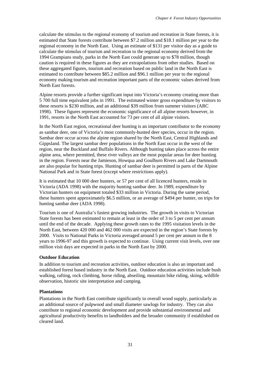calculate the stimulus to the regional economy of tourism and recreation in State forests, it is estimated that State forests contribute between \$7.2 million and \$18.1 million per year to the regional economy in the North East. Using an estimate of \$131 per visitor day as a guide to calculate the stimulus of tourism and recreation to the regional economy derived from the 1994 Grampians study, parks in the North East could generate up to \$78 million, though caution is required in these figures as they are extrapolations from other studies. Based on these aggregated figures, tourism and recreation based on public land in the North East is estimated to contribute between \$85.2 million and \$96.1 million per year to the regional economy making tourism and recreation important parts of the economic values derived from North East forests.

Alpine resorts provide a further significant input into Victoria's economy creating more than 5 700 full time equivalent jobs in 1991. The estimated winter gross expenditure by visitors to these resorts is \$230 million, and an additional \$39 million from summer visitors (ARC 1998). These figures represent the economic significance of all alpine resorts however, in 1991, resorts in the North East accounted for 73 per cent of all alpine visitors.

In the North East region, recreational deer hunting is an important contributor to the economy as sambar deer, one of Victoria's most commonly-hunted deer species, occur in the region. Sambar deer occur across the alpine region shared by the North East, Central Highlands and Gippsland. The largest sambar deer populations in the North East occur in the west of the region, near the Buckland and Buffalo Rivers. Although hunting takes place across the entire alpine area, where permitted, these river valleys are the most popular areas for deer hunting in the region. Forests near the Jamieson, Howqua and Goulburn Rivers and Lake Dartmouth are also popular for hunting trips. Hunting of sambar deer is permitted in parts of the Alpine National Park and in State forest (except where restrictions apply).

It is estimated that 10 000 deer hunters, or 57 per cent of all licenced hunters, reside in Victoria (ADA 1998) with the majority hunting sambar deer. In 1989, expenditure by Victorian hunters on equipment totaled \$33 million in Victoria. During the same period, these hunters spent approximately \$6.5 million, or an average of \$494 per hunter, on trips for hunting sambar deer (ADA 1998).

Tourism is one of Australia's fastest growing industries. The growth in visits to Victorian State forests has been estimated to remain at least in the order of 3 to 5 per cent per annum until the end of the decade. Applying these growth rates to the 1995 visitation levels in the North East, between 420 000 and 462 000 visits are expected in the region's State forests by 2000. Visits to National Parks in Victoria averaged around 5 per cent per annum in the 8 years to 1996-97 and this growth is expected to continue. Using current visit levels, over one million visit days are expected in parks in the North East by 2000.

#### **Outdoor Education**

In addition to tourism and recreation activities, outdoor education is also an important and established forest based industry in the North East. Outdoor education activities include bush walking, rafting, rock climbing, horse riding, abseiling, mountain bike riding, skiing, wildlife observation, historic site interpretation and camping.

#### **Plantations**

Plantations in the North East contribute significantly to overall wood supply, particularly as an additional source of pulpwood and small diameter sawlogs for industry. They can also contribute to regional economic development and provide substantial environmental and agricultural productivity benefits to landholders and the broader community if established on cleared land.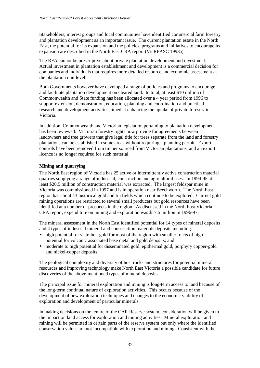Stakeholders, interest groups and local communities have identified commercial farm forestry and plantation development as an important issue. The current plantation estate in the North East, the potential for its expansion and the policies, programs and initiatives to encourage its expansion are described in the North East CRA report (VicRFASC 1998a).

The RFA cannot be prescriptive about private plantation development and investment. Actual investment in plantation establishment and development is a commercial decision for companies and individuals that requires more detailed resource and economic assessment at the plantation unit level.

Both Governments however have developed a range of policies and programs to encourage and facilitate plantation development on cleared land. In total, at least \$10 million of Commonwealth and State funding has been allocated over a 4 year period from 1996 to support extension, demonstration, education, planning and coordination and practical research and development activities aimed at enhancing the uptake of private forestry in Victoria.

In addition, Commonwealth and Victorian legislation pertaining to plantation development has been reviewed. Victorian forestry rights now provide for agreements between landowners and tree growers that give legal title for trees separate from the land and forestry plantations can be established in some areas without requiring a planning permit. Export controls have been removed from timber sourced from Victorian plantations, and an export licence is no longer required for such material.

#### **Mining and quarrying**

The North East region of Victoria has 25 active or intermittently active construction material quarries supplying a range of industrial, construction and agricultural uses. In 1994-95 at least \$20.5 million of construction material was extracted. The largest feldspar mine in Victoria was commissioned in 1997 and is in operation near Beechworth. The North East region has about 43 historical gold and tin fields which continue to be explored. Current gold mining operations are restricted to several small producers but gold resources have been identified at a number of prospects in the region. As discussed in the North East Victoria CRA report, expenditure on mining and exploration was \$17.5 million in 1996-97.

The mineral assessment in the North East identified potential for 14 types of mineral deposits and 4 types of industrial mineral and construction materials deposits including:

- high potential for slate-belt gold for most of the region with smaller tracts of high potential for volcanic associated base metal and gold deposits; and
- moderate to high potential for disseminated gold, epithermal gold, porphyry copper-gold and nickel-copper deposits.

The geological complexity and diversity of host rocks and structures for potential mineral resources and improving technology make North East Victoria a possible candidate for future discoveries of the above-mentioned types of mineral deposits.

The principal issue for mineral exploration and mining is long-term access to land because of the long-term continual nature of exploration activities. This occurs because of the development of new exploration techniques and changes to the economic viability of exploration and development of particular minerals.

In making decisions on the tenure of the CAR Reserve system, consideration will be given to the impact on land access for exploration and mining activities. Mineral exploration and mining will be permitted in certain parts of the reserve system but only where the identified conservation values are not incompatible with exploration and mining. Consistent with the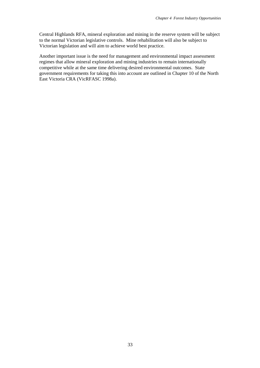Central Highlands RFA, mineral exploration and mining in the reserve system will be subject to the normal Victorian legislative controls. Mine rehabilitation will also be subject to Victorian legislation and will aim to achieve world best practice.

Another important issue is the need for management and environmental impact assessment regimes that allow mineral exploration and mining industries to remain internationally competitive while at the same time delivering desired environmental outcomes. State government requirements for taking this into account are outlined in Chapter 10 of the North East Victoria CRA (VicRFASC 1998a).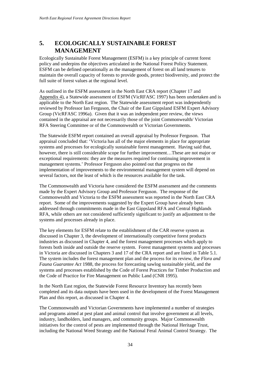# <span id="page-39-0"></span>**5. ECOLOGICALLY SUSTAINABLE FOREST MANAGEMENT**

Ecologically Sustainable Forest Management (ESFM) is a key principle of current forest policy and underpins the objectives articulated in the National Forest Policy Statement. ESFM can be defined operationally as the management of forest on all land tenures to maintain the overall capacity of forests to provide goods, protect biodiversity, and protect the full suite of forest values at the regional level.

As outlined in the ESFM assessment in the North East CRA report (Chapter 17 and Appendix 4), a Statewide assessment of ESFM (VicRFASC 1997) has been undertaken and is applicable to the North East region. The Statewide assessment report was independently reviewed by Professor Ian Ferguson, the Chair of the East Gippsland ESFM Expert Advisory Group (VicRFASC 1996a). Given that it was an independent peer review, the views contained in the appraisal are not necessarily those of the joint Commonwealth/ Victorian RFA Steering Committee or of the Commonwealth or Victorian Governments.

The Statewide ESFM report contained an overall appraisal by Professor Ferguson. That appraisal concluded that: 'Victoria has all of the major elements in place for appropriate systems and processes for ecologically sustainable forest management. Having said that, however, there is still considerable scope for further improvement…These are not major or exceptional requirements: they are the measures required for continuing improvement in management systems.' Professor Ferguson also pointed out that progress on the implementation of improvements to the environmental management system will depend on several factors, not the least of which is the resources available for the task.

The Commonwealth and Victoria have considered the ESFM assessment and the comments made by the Expert Advisory Group and Professor Ferguson. The response of the Commonwealth and Victoria to the ESFM assessment was reported in the North East CRA report. Some of the improvements suggested by the Expert Group have already been addressed through commitments made in the East Gippsland RFA and Central Highlands RFA, while others are not considered sufficiently significant to justify an adjustment to the systems and processes already in place.

The key elements for ESFM relate to the establishment of the CAR reserve system as discussed in Chapter 3, the development of internationally competitive forest products industries as discussed in Chapter 4, and the forest management processes which apply to forests both inside and outside the reserve system. Forest management systems and processes in Victoria are discussed in Chapters 3 and 17 of the CRA report and are listed in Table 5.1. The system includes the forest management plan and the process for its review, the *Flora and Fauna Guarantee Act* 1988, the process for forecasting sawlog sustainable yield, and the systems and processes established by the Code of Forest Practices for Timber Production and the Code of Practice for Fire Management on Public Land (CNR 1995).

In the North East region, the Statewide Forest Resource Inventory has recently been completed and its data outputs have been used in the development of the Forest Management Plan and this report, as discussed in Chapter 4.

The Commonwealth and Victorian Governments have implemented a number of strategies and programs aimed at pest plant and animal control that involve government at all levels, industry, landholders, land managers, and community groups. Major Commonwealth initiatives for the control of pests are implemented through the National Heritage Trust, including the National Weed Strategy and the National Feral Animal Control Strategy. The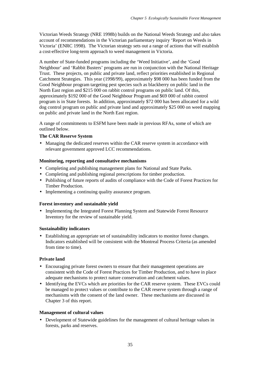Victorian Weeds Strategy (NRE 1998b) builds on the National Weeds Strategy and also takes account of recommendations in the Victorian parliamentary inquiry 'Report on Weeds in Victoria' (ENRC 1998). The Victorian strategy sets out a range of actions that will establish a cost-effective long-term approach to weed management in Victoria.

A number of State-funded programs including the 'Weed Initiative', and the 'Good Neighbour' and 'Rabbit Busters' programs are run in conjunction with the National Heritage Trust. These projects, on public and private land, reflect priorities established in Regional Catchment Strategies. This year (1998/99), approximately \$98 000 has been funded from the Good Neighbour program targeting pest species such as blackberry on public land in the North East region and \$215 000 on rabbit control programs on public land. Of this, approximately \$192 000 of the Good Neighbour Program and \$69 000 of rabbit control program is in State forests. In addition, approximately \$72 000 has been allocated for a wild dog control program on public and private land and approximately \$25 000 on weed mapping on public and private land in the North East region.

A range of commitments to ESFM have been made in previous RFAs, some of which are outlined below.

#### **The CAR Reserve System**

• Managing the dedicated reserves within the CAR reserve system in accordance with relevant government approved LCC recommendations.

#### **Monitoring, reporting and consultative mechanisms**

- Completing and publishing management plans for National and State Parks.
- Completing and publishing regional prescriptions for timber production.
- Publishing of future reports of audits of compliance with the Code of Forest Practices for Timber Production.
- Implementing a continuing quality assurance program.

#### **Forest inventory and sustainable yield**

• Implementing the Integrated Forest Planning System and Statewide Forest Resource Inventory for the review of sustainable yield.

#### **Sustainability indicators**

• Establishing an appropriate set of sustainability indicators to monitor forest changes. Indicators established will be consistent with the Montreal Process Criteria (as amended from time to time).

#### **Private land**

- Encouraging private forest owners to ensure that their management operations are consistent with the Code of Forest Practices for Timber Production, and to have in place adequate mechanisms to protect nature conservation and catchment values.
- Identifying the EVCs which are priorities for the CAR reserve system. These EVCs could be managed to protect values or contribute to the CAR reserve system through a range of mechanisms with the consent of the land owner. These mechanisms are discussed in Chapter 3 of this report.

#### **Management of cultural values**

• Development of Statewide guidelines for the management of cultural heritage values in forests, parks and reserves.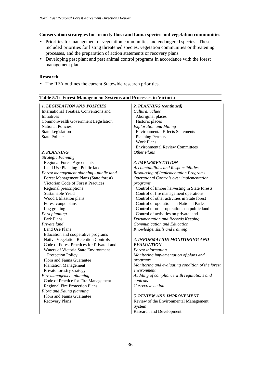#### **Conservation strategies for priority flora and fauna species and vegetation communities**

- Priorities for management of vegetation communities and endangered species. These included priorities for listing threatened species, vegetation communities or threatening processes, and the preparation of action statements or recovery plans.
- Developing pest plant and pest animal control programs in accordance with the forest management plan.

#### **Research**

• The RFA outlines the current Statewide research priorities.

| r of the maintenance by because and         |                                                   |
|---------------------------------------------|---------------------------------------------------|
| <b>1. LEGISLATION AND POLICIES</b>          | 2. PLANNING (continued)                           |
| International Treaties, Conventions and     | Cultural values                                   |
| Initiatives                                 | Aboriginal places                                 |
| Commonwealth Government Legislation         | Historic places                                   |
| <b>National Policies</b>                    | <b>Exploration and Mining</b>                     |
| <b>State Legislation</b>                    | <b>Environmental Effects Statements</b>           |
| <b>State Policies</b>                       | <b>Planning Permits</b>                           |
|                                             | <b>Work Plans</b>                                 |
|                                             | <b>Environmental Review Committees</b>            |
| 2. PLANNING                                 | Other Plans                                       |
| <b>Strategic Planning</b>                   |                                                   |
| <b>Regional Forest Agreements</b>           | <b>3. IMPLEMENTATION</b>                          |
| Land Use Planning - Public land             | Accountabilities and Responsibilities             |
| Forest management planning - public land    | <b>Resourcing of Implementation Programs</b>      |
| Forest Management Plans (State forest)      | Operational Controls over implementation          |
| Victorian Code of Forest Practices          | programs                                          |
| Regional prescriptions                      | Control of timber harvesting in State forests     |
| Sustainable Yield                           | Control of fire management operations             |
| Wood Utilisation plans                      | Control of other activities in State forest       |
| Forest coupe plans                          | Control of operations in National Parks           |
| Log grading                                 | Control of other operations on public land        |
| Park planning                               | Control of activities on private land             |
| Park Plans                                  | Documentation and Records Keeping                 |
| Private land                                | Communication and Education                       |
| Land Use Plans                              | Knowledge, skills and training                    |
| Education and cooperative programs          |                                                   |
| <b>Native Vegetation Retention Controls</b> | <b>4. INFORMATION MONITORING AND</b>              |
| Code of Forest Practices for Private Land   | <b>EVALUATION</b>                                 |
| Waters of Victoria State Environment        | Forest information                                |
| <b>Protection Policy</b>                    | Monitoring implementation of plans and            |
| Flora and Fauna Guarantee                   | programs                                          |
| <b>Plantation Management</b>                | Monitoring and evaluating condition of the forest |
| Private forestry strategy                   | environment                                       |
| Fire management planning                    | Auditing of compliance with regulations and       |
| Code of Practice for Fire Management        | controls                                          |
| <b>Regional Fire Protection Plans</b>       | Corrective action                                 |
| Flora and Fauna planning                    |                                                   |
| Flora and Fauna Guarantee                   | <b>5. REVIEW AND IMPROVEMENT</b>                  |
| <b>Recovery Plans</b>                       | Review of the Environmental Management            |
|                                             | System                                            |
|                                             | <b>Research and Development</b>                   |

#### **Table 5.1: Forest Management Systems and Processes in Victoria**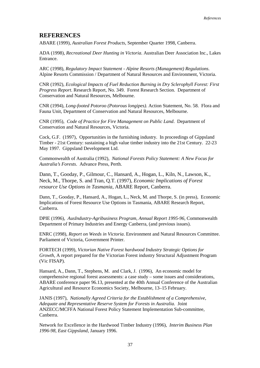# <span id="page-42-0"></span>**REFERENCES**

ABARE (1999), *Australian Forest Products*, September Quarter 1998, Canberra.

ADA (1998), *Recreational Deer Hunting in Victoria*. Australian Deer Association Inc., Lakes Entrance.

ARC (1998), *Regulatory Impact Statement - Alpine Resorts (Management) Regulations*. Alpine Resorts Commission / Department of Natural Resources and Environment, Victoria.

CNR (1992), *Ecological Impacts of Fuel Reduction Burning in Dry Sclerophyll Forest: First Progress Report*. Research Report, No. 349. Forest Research Section. Department of Conservation and Natural Resources, Melbourne.

CNR (1994), *Long-footed Potoroo (Potorous longipes)*. Action Statement, No. 58. Flora and Fauna Unit, Department of Conservation and Natural Resources, Melbourne.

CNR (1995), *Code of Practice for Fire Management on Public Land*. Department of Conservation and Natural Resources, Victoria.

Cock, G.F. (1997), Opportunities in the furnishing industry. In proceedings of Gippsland Timber - 21st Century: sustaining a high value timber industry into the 21st Century. 22-23 May 1997. Gippsland Development Ltd.

Commonwealth of Australia (1992), *National Forests Policy Statement: A New Focus for Australia's Forests*. Advance Press, Perth.

Dann, T., Gooday, P., Gilmour, C., Hansard, A., Hogan, L., Kiln, N., Lawson, K., Neck, M., Thorpe, S. and Tran, Q.T. (1997), *Economic Implications of Forest resource Use Options in Tasmania*, ABARE Report, Canberra.

Dann, T., Gooday, P., Hansard, A., Hogan, L., Neck, M. and Thorpe, S. (in press), Economic Implications of Forest Resource Use Options in Tasmania, ABARE Research Report, Canberra.

DPIE (1996), *AusIndustry-Agribusiness Program*, *Annual Report 1995-96,* Commonwealth Department of Primary Industries and Energy Canberra, (and previous issues).

ENRC (1998), *Report on Weeds in Victoria*. Environment and Natural Resources Committee. Parliament of Victoria, Government Printer.

FORTECH (1999)*, Victorian Native Forest hardwood Industry Strategic Options for Growth*, A report prepared for the Victorian Forest industry Structural Adjustment Program (Vic FISAP).

Hansard, A., Dann, T., Stephens, M. and Clark, J. (1996), An economic model for comprehensive regional forest assessments: a case study – some issues and considerations, ABARE conference paper 96.13, presented at the 40th Annual Conference of the Australian Agricultural and Resource Economics Society, Melbourne, 13–15 February.

JANIS (1997), *Nationally Agreed Criteria for the Establishment of a Comprehensive, Adequate and Representative Reserve System for Forests in Australia.* Joint ANZECC/MCFFA National Forest Policy Statement Implementation Sub-committee, Canberra.

Network for Excellence in the Hardwood Timber Industry (1996), *Interim Business Plan 1996-98, East Gippsland*, January 1996.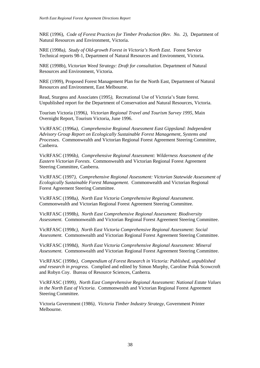NRE (1996), *Code of Forest Practices for Timber Production (Rev. No. 2),* Department of Natural Resources and Environment, Victoria.

NRE (1998a*), Study of Old-growth Forest in Victoria's North East*. Forest Service Technical reports 98-1, Department of Natural Resources and Environment, Victoria.

NRE (1998b), *Victorian Weed Strategy: Draft for consultation*. Department of Natural Resources and Environment, Victoria.

NRE (1999), Proposed Forest Management Plan for the North East, Department of Natural Resources and Environment, East Melbourne.

Read, Sturgess and Associates (1995*),* Recreational Use of Victoria's State forest. Unpublished report for the Department of Conservation and Natural Resources, Victoria.

Tourism Victoria (1996*), Victorian Regional Travel and Tourism Survey 1995*, Main Overnight Report, Tourism Victoria, June 1996.

VicRFASC (1996a*), Comprehensive Regional Assessment East Gippsland: Independent Advisory Group Report on Ecologically Sustainable Forest Management, Systems and Processes.* Commonwealth and Victorian Regional Forest Agreement Steering Committee, Canberra.

VicRFASC (1996b*), Comprehensive Regional Assessment: Wilderness Assessment of the Eastern Victorian Forests*. Commonwealth and Victorian Regional Forest Agreement Steering Committee, Canberra.

VicRFASC (1997*), Comprehensive Regional Assessment: Victorian Statewide Assessment of Ecologically Sustainable Forest Management.* Commonwealth and Victorian Regional Forest Agreement Steering Committee.

VicRFASC (1998a*), North East Victoria Comprehensive Regional Assessment.* Commonwealth and Victorian Regional Forest Agreement Steering Committee.

VicRFASC (1998b*), North East Comprehensive Regional Assessment: Biodiversity Assessment.* Commonwealth and Victorian Regional Forest Agreement Steering Committee.

VicRFASC (1998c*), North East Victoria Comprehensive Regional Assessment: Social Assessment.* Commonwealth and Victorian Regional Forest Agreement Steering Committee.

VicRFASC (1998d*), North East Victoria Comprehensive Regional Assessment: Mineral Assessment.* Commonwealth and Victorian Regional Forest Agreement Steering Committee.

VicRFASC (1998e*), Compendium of Forest Research in Victoria: Published, unpublished and research in progress.* Complied and edited by Simon Murphy, Caroline Polak Scowcroft and Robyn Coy. Bureau of Resource Sciences, Canberra*.*

VicRFASC (1999*), North East Comprehensive Regional Assessment: National Estate Values in the North East of Victoria*. Commonwealth and Victorian Regional Forest Agreement Steering Committee.

Victoria Government (1986*), Victoria Timber Industry Strategy*, Government Printer Melbourne.